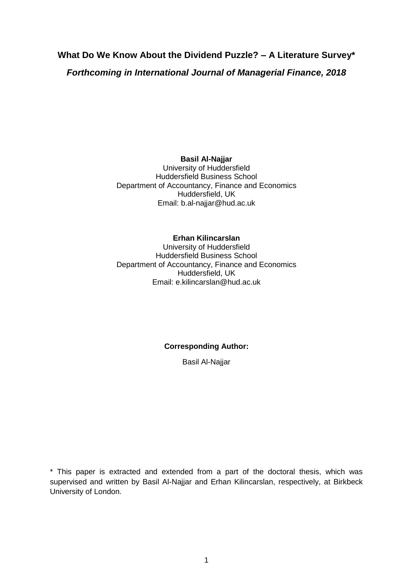# **What Do We Know About the Dividend Puzzle? – A Literature Survey\***

*Forthcoming in International Journal of Managerial Finance, 2018*

### **Basil Al-Najjar**

University of Huddersfield Huddersfield Business School Department of Accountancy, Finance and Economics Huddersfield, UK Email: b.al-najjar@hud.ac.uk

## **Erhan Kilincarslan**

University of Huddersfield Huddersfield Business School Department of Accountancy, Finance and Economics Huddersfield, UK Email: e.kilincarslan@hud.ac.uk

## **Corresponding Author:**

Basil Al-Najjar

\* This paper is extracted and extended from a part of the doctoral thesis, which was supervised and written by Basil Al-Najjar and Erhan Kilincarslan, respectively, at Birkbeck University of London.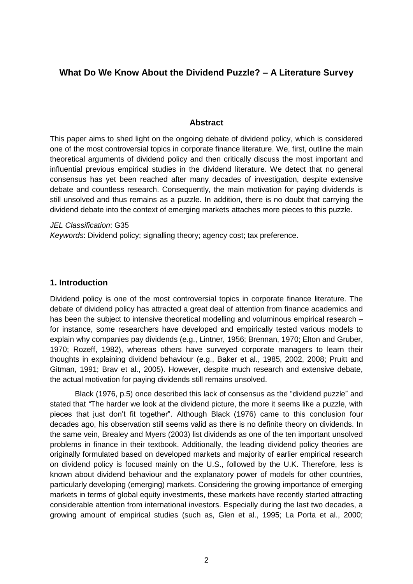## **What Do We Know About the Dividend Puzzle? – A Literature Survey**

#### **Abstract**

This paper aims to shed light on the ongoing debate of dividend policy, which is considered one of the most controversial topics in corporate finance literature. We, first, outline the main theoretical arguments of dividend policy and then critically discuss the most important and influential previous empirical studies in the dividend literature. We detect that no general consensus has yet been reached after many decades of investigation, despite extensive debate and countless research. Consequently, the main motivation for paying dividends is still unsolved and thus remains as a puzzle. In addition, there is no doubt that carrying the dividend debate into the context of emerging markets attaches more pieces to this puzzle.

#### *JEL Classification*: G35

*Keywords*: Dividend policy; signalling theory; agency cost; tax preference.

### **1. Introduction**

Dividend policy is one of the most controversial topics in corporate finance literature. The debate of dividend policy has attracted a great deal of attention from finance academics and has been the subject to intensive theoretical modelling and voluminous empirical research – for instance, some researchers have developed and empirically tested various models to explain why companies pay dividends (e.g., Lintner, 1956; Brennan, 1970; Elton and Gruber, 1970; Rozeff, 1982), whereas others have surveyed corporate managers to learn their thoughts in explaining dividend behaviour (e.g., Baker et al., 1985, 2002, 2008; Pruitt and Gitman, 1991; Brav et al., 2005). However, despite much research and extensive debate, the actual motivation for paying dividends still remains unsolved.

Black (1976, p.5) once described this lack of consensus as the "dividend puzzle" and stated that *"*The harder we look at the dividend picture, the more it seems like a puzzle, with pieces that just don't fit together". Although Black (1976) came to this conclusion four decades ago, his observation still seems valid as there is no definite theory on dividends. In the same vein, Brealey and Myers (2003) list dividends as one of the ten important unsolved problems in finance in their textbook. Additionally, the leading dividend policy theories are originally formulated based on developed markets and majority of earlier empirical research on dividend policy is focused mainly on the U.S., followed by the U.K. Therefore, less is known about dividend behaviour and the explanatory power of models for other countries, particularly developing (emerging) markets. Considering the growing importance of emerging markets in terms of global equity investments, these markets have recently started attracting considerable attention from international investors. Especially during the last two decades, a growing amount of empirical studies (such as, Glen et al., 1995; La Porta et al., 2000;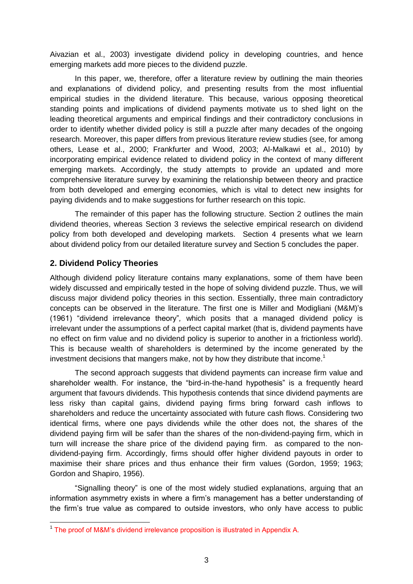Aivazian et al., 2003) investigate dividend policy in developing countries, and hence emerging markets add more pieces to the dividend puzzle.

In this paper, we, therefore, offer a literature review by outlining the main theories and explanations of dividend policy, and presenting results from the most influential empirical studies in the dividend literature. This because, various opposing theoretical standing points and implications of dividend payments motivate us to shed light on the leading theoretical arguments and empirical findings and their contradictory conclusions in order to identify whether divided policy is still a puzzle after many decades of the ongoing research. Moreover, this paper differs from previous literature review studies (see, for among others, Lease et al., 2000; Frankfurter and Wood, 2003; Al-Malkawi et al., 2010) by incorporating empirical evidence related to dividend policy in the context of many different emerging markets. Accordingly, the study attempts to provide an updated and more comprehensive literature survey by examining the relationship between theory and practice from both developed and emerging economies, which is vital to detect new insights for paying dividends and to make suggestions for further research on this topic.

The remainder of this paper has the following structure. Section 2 outlines the main dividend theories, whereas Section 3 reviews the selective empirical research on dividend policy from both developed and developing markets. Section 4 presents what we learn about dividend policy from our detailed literature survey and Section 5 concludes the paper.

## **2. Dividend Policy Theories**

Although dividend policy literature contains many explanations, some of them have been widely discussed and empirically tested in the hope of solving dividend puzzle. Thus, we will discuss major dividend policy theories in this section. Essentially, three main contradictory concepts can be observed in the literature. The first one is Miller and Modigliani (M&M)'s (1961) "dividend irrelevance theory"*,* which posits that a managed dividend policy is irrelevant under the assumptions of a perfect capital market (that is, dividend payments have no effect on firm value and no dividend policy is superior to another in a frictionless world). This is because wealth of shareholders is determined by the income generated by the investment decisions that mangers make, not by how they distribute that income.<sup>1</sup>

The second approach suggests that dividend payments can increase firm value and shareholder wealth. For instance, the "bird-in-the-hand hypothesis" is a frequently heard argument that favours dividends. This hypothesis contends that since dividend payments are less risky than capital gains, dividend paying firms bring forward cash inflows to shareholders and reduce the uncertainty associated with future cash flows. Considering two identical firms, where one pays dividends while the other does not, the shares of the dividend paying firm will be safer than the shares of the non-dividend-paying firm, which in turn will increase the share price of the dividend paying firm. as compared to the nondividend-paying firm. Accordingly, firms should offer higher dividend payouts in order to maximise their share prices and thus enhance their firm values (Gordon, 1959; 1963; Gordon and Shapiro, 1956).

"Signalling theory" is one of the most widely studied explanations, arguing that an information asymmetry exists in where a firm's management has a better understanding of the firm's true value as compared to outside investors, who only have access to public

 1 The proof of M&M's dividend irrelevance proposition is illustrated in Appendix A.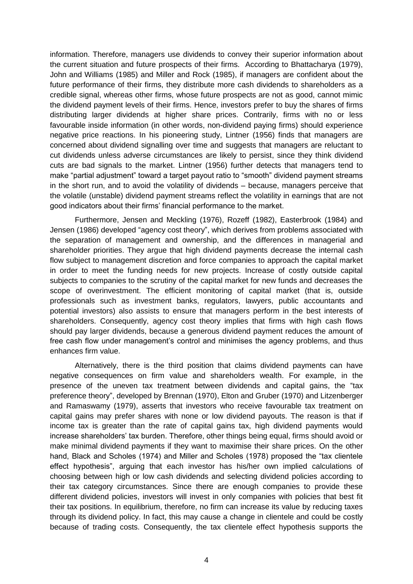information. Therefore, managers use dividends to convey their superior information about the current situation and future prospects of their firms. According to Bhattacharya (1979), John and Williams (1985) and Miller and Rock (1985), if managers are confident about the future performance of their firms, they distribute more cash dividends to shareholders as a credible signal, whereas other firms, whose future prospects are not as good, cannot mimic the dividend payment levels of their firms. Hence, investors prefer to buy the shares of firms distributing larger dividends at higher share prices. Contrarily, firms with no or less favourable inside information (in other words, non-dividend paying firms) should experience negative price reactions. In his pioneering study, Lintner (1956) finds that managers are concerned about dividend signalling over time and suggests that managers are reluctant to cut dividends unless adverse circumstances are likely to persist, since they think dividend cuts are bad signals to the market. Lintner (1956) further detects that managers tend to make "partial adjustment" toward a target payout ratio to "smooth" dividend payment streams in the short run, and to avoid the volatility of dividends – because, managers perceive that the volatile (unstable) dividend payment streams reflect the volatility in earnings that are not good indicators about their firms' financial performance to the market.

Furthermore, Jensen and Meckling (1976), Rozeff (1982), Easterbrook (1984) and Jensen (1986) developed "agency cost theory", which derives from problems associated with the separation of management and ownership, and the differences in managerial and shareholder priorities. They argue that high dividend payments decrease the internal cash flow subject to management discretion and force companies to approach the capital market in order to meet the funding needs for new projects. Increase of costly outside capital subjects to companies to the scrutiny of the capital market for new funds and decreases the scope of overinvestment. The efficient monitoring of capital market (that is, outside professionals such as investment banks, regulators, lawyers, public accountants and potential investors) also assists to ensure that managers perform in the best interests of shareholders. Consequently, agency cost theory implies that firms with high cash flows should pay larger dividends, because a generous dividend payment reduces the amount of free cash flow under management's control and minimises the agency problems, and thus enhances firm value.

Alternatively, there is the third position that claims dividend payments can have negative consequences on firm value and shareholders wealth. For example, in the presence of the uneven tax treatment between dividends and capital gains, the "tax preference theory", developed by Brennan (1970), Elton and Gruber (1970) and Litzenberger and Ramaswamy (1979), asserts that investors who receive favourable tax treatment on capital gains may prefer shares with none or low dividend payouts. The reason is that if income tax is greater than the rate of capital gains tax, high dividend payments would increase shareholders' tax burden. Therefore, other things being equal, firms should avoid or make minimal dividend payments if they want to maximise their share prices. On the other hand, Black and Scholes (1974) and Miller and Scholes (1978) proposed the "tax clientele effect hypothesis", arguing that each investor has his/her own implied calculations of choosing between high or low cash dividends and selecting dividend policies according to their tax category circumstances. Since there are enough companies to provide these different dividend policies, investors will invest in only companies with policies that best fit their tax positions. In equilibrium, therefore, no firm can increase its value by reducing taxes through its dividend policy. In fact, this may cause a change in clientele and could be costly because of trading costs. Consequently, the tax clientele effect hypothesis supports the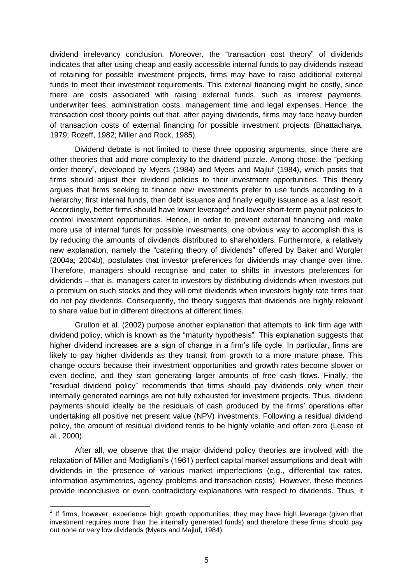dividend irrelevancy conclusion. Moreover, the "transaction cost theory" of dividends indicates that after using cheap and easily accessible internal funds to pay dividends instead of retaining for possible investment projects, firms may have to raise additional external funds to meet their investment requirements. This external financing might be costly, since there are costs associated with raising external funds, such as interest payments, underwriter fees, administration costs, management time and legal expenses. Hence, the transaction cost theory points out that, after paying dividends, firms may face heavy burden of transaction costs of external financing for possible investment projects (Bhattacharya, 1979; Rozeff, 1982; Miller and Rock, 1985).

Dividend debate is not limited to these three opposing arguments, since there are other theories that add more complexity to the dividend puzzle. Among those, the "pecking order theory"*,* developed by Myers (1984) and Myers and Majluf (1984), which posits that firms should adjust their dividend policies to their investment opportunities. This theory argues that firms seeking to finance new investments prefer to use funds according to a hierarchy; first internal funds, then debt issuance and finally equity issuance as a last resort. Accordingly, better firms should have lower leverage<sup>2</sup> and lower short-term payout policies to control investment opportunities. Hence, in order to prevent external financing and make more use of internal funds for possible investments, one obvious way to accomplish this is by reducing the amounts of dividends distributed to shareholders. Furthermore, a relatively new explanation, namely the "catering theory of dividends" offered by Baker and Wurgler (2004a; 2004b), postulates that investor preferences for dividends may change over time. Therefore, managers should recognise and cater to shifts in investors preferences for dividends – that is, managers cater to investors by distributing dividends when investors put a premium on such stocks and they will omit dividends when investors highly rate firms that do not pay dividends. Consequently, the theory suggests that dividends are highly relevant to share value but in different directions at different times.

Grullon et al. (2002) purpose another explanation that attempts to link firm age with dividend policy, which is known as the "maturity hypothesis"*.* This explanation suggests that higher dividend increases are a sign of change in a firm's life cycle. In particular, firms are likely to pay higher dividends as they transit from growth to a more mature phase. This change occurs because their investment opportunities and growth rates become slower or even decline, and they start generating larger amounts of free cash flows. Finally, the "residual dividend policy" recommends that firms should pay dividends only when their internally generated earnings are not fully exhausted for investment projects. Thus, dividend payments should ideally be the residuals of cash produced by the firms' operations after undertaking all positive net present value (NPV) investments. Following a residual dividend policy, the amount of residual dividend tends to be highly volatile and often zero (Lease et al., 2000).

After all, we observe that the major dividend policy theories are involved with the relaxation of Miller and Modigliani's (1961) perfect capital market assumptions and dealt with dividends in the presence of various market imperfections (e.g., differential tax rates, information asymmetries, agency problems and transaction costs). However, these theories provide inconclusive or even contradictory explanations with respect to dividends. Thus, it

**ENET TE 10 ENET 10 ENET 10 ENET 10 ENET 10 ENET 10**<br><sup>2</sup> If firms, however, experience high growth opportunities, they may have high leverage (given that investment requires more than the internally generated funds) and therefore these firms should pay out none or very low dividends (Myers and Majluf, 1984).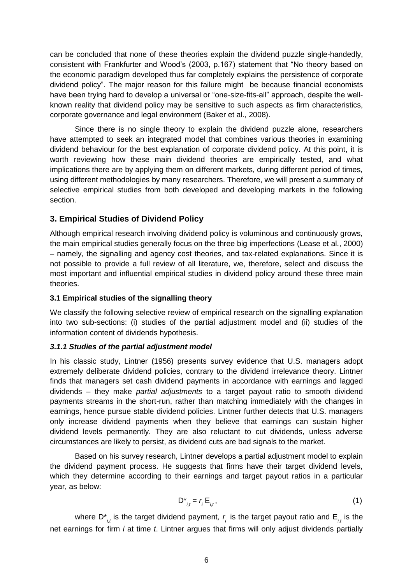can be concluded that none of these theories explain the dividend puzzle single-handedly, consistent with Frankfurter and Wood's (2003, p.167) statement that "No theory based on the economic paradigm developed thus far completely explains the persistence of corporate dividend policy". The major reason for this failure might be because financial economists have been trying hard to develop a universal or "one-size-fits-all" approach, despite the wellknown reality that dividend policy may be sensitive to such aspects as firm characteristics, corporate governance and legal environment (Baker et al., 2008).

Since there is no single theory to explain the dividend puzzle alone, researchers have attempted to seek an integrated model that combines various theories in examining dividend behaviour for the best explanation of corporate dividend policy. At this point, it is worth reviewing how these main dividend theories are empirically tested, and what implications there are by applying them on different markets, during different period of times, using different methodologies by many researchers. Therefore, we will present a summary of selective empirical studies from both developed and developing markets in the following section.

## **3. Empirical Studies of Dividend Policy**

Although empirical research involving dividend policy is voluminous and continuously grows, the main empirical studies generally focus on the three big imperfections (Lease et al., 2000) – namely, the signalling and agency cost theories, and tax-related explanations. Since it is not possible to provide a full review of all literature, we, therefore, select and discuss the most important and influential empirical studies in dividend policy around these three main theories.

### **3.1 Empirical studies of the signalling theory**

We classify the following selective review of empirical research on the signalling explanation into two sub-sections: (i) studies of the partial adjustment model and (ii) studies of the information content of dividends hypothesis.

#### *3.1.1 Studies of the partial adjustment model*

In his classic study, Lintner (1956) presents survey evidence that U.S. managers adopt extremely deliberate dividend policies, contrary to the dividend irrelevance theory. Lintner finds that managers set cash dividend payments in accordance with earnings and lagged dividends – they make *partial adjustments* to a target payout ratio to smooth dividend payments streams in the short-run, rather than matching immediately with the changes in earnings, hence pursue stable dividend policies. Lintner further detects that U.S. managers only increase dividend payments when they believe that earnings can sustain higher dividend levels permanently. They are also reluctant to cut dividends, unless adverse circumstances are likely to persist, as dividend cuts are bad signals to the market.

Based on his survey research, Lintner develops a partial adjustment model to explain the dividend payment process. He suggests that firms have their target dividend levels, which they determine according to their earnings and target payout ratios in a particular year, as below:

$$
D^*_{i,t} = r_i E_{i,t},\tag{1}
$$

where  $D^*_{i,t}$  is the target dividend payment,  $r_i$  is the target payout ratio and  $E_{i,t}$  is the net earnings for firm *i* at time *t*. Lintner argues that firms will only adjust dividends partially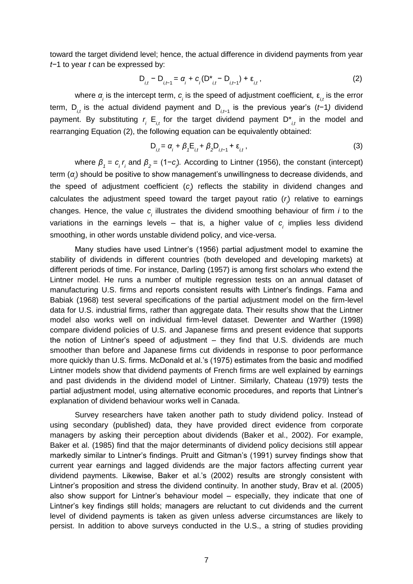toward the target dividend level; hence, the actual difference in dividend payments from year *t−*1 to year *t* can be expressed by:

$$
D_{i,t} - D_{i,t-1} = \alpha_i + c_i (D_{i,t}^* - D_{i,t-1}) + \varepsilon_{i,t},
$$
\n(2)

where *α<sub>i</sub>* is the intercept term, *c<sub>i</sub>* is the speed of adjustment coefficient, ε<sub>*i,t*</sub> is the error term, D<sub>it</sub> is the actual dividend payment and D<sub>it−1</sub> is the previous year's (t-1) dividend payment. By substituting  $r_i$  E<sub>it</sub> for the target dividend payment D<sup>\*</sup><sub>it</sub> in the model and rearranging Equation (2), the following equation can be equivalently obtained:

$$
D_{i,t} = \alpha_i + \beta_i E_{i,t} + \beta_2 D_{i,t-1} + \varepsilon_{i,t},
$$
\n(3)

where  $β$ <sub>*<sub>1</sub>*</sub> = *c<sub>i</sub>*  $r$ <sub>*i*</sub> and  $β$ <sub>2</sub> = (1−*c<sub>i</sub>*). According to Lintner (1956), the constant (intercept) term (*α<sup>i</sup>* ) should be positive to show management's unwillingness to decrease dividends, and the speed of adjustment coefficient (c) reflects the stability in dividend changes and calculates the adjustment speed toward the target payout ratio (*r i* ) relative to earnings changes. Hence, the value  $c<sub>j</sub>$  illustrates the dividend smoothing behaviour of firm *i* to the variations in the earnings levels – that is, a higher value of  $c_{\scriptscriptstyle\!}/$  implies less dividend smoothing, in other words unstable dividend policy, and vice-versa.

Many studies have used Lintner's (1956) partial adjustment model to examine the stability of dividends in different countries (both developed and developing markets) at different periods of time. For instance, Darling (1957) is among first scholars who extend the Lintner model. He runs a number of multiple regression tests on an annual dataset of manufacturing U.S. firms and reports consistent results with Lintner's findings. Fama and Babiak (1968) test several specifications of the partial adjustment model on the firm-level data for U.S. industrial firms, rather than aggregate data. Their results show that the Lintner model also works well on individual firm-level dataset. Dewenter and Warther (1998) compare dividend policies of U.S. and Japanese firms and present evidence that supports the notion of Lintner's speed of adjustment – they find that U.S. dividends are much smoother than before and Japanese firms cut dividends in response to poor performance more quickly than U.S. firms. McDonald et al.'s (1975) estimates from the basic and modified Lintner models show that dividend payments of French firms are well explained by earnings and past dividends in the dividend model of Lintner. Similarly, Chateau (1979) tests the partial adjustment model, using alternative economic procedures, and reports that Lintner's explanation of dividend behaviour works well in Canada.

Survey researchers have taken another path to study dividend policy. Instead of using secondary (published) data, they have provided direct evidence from corporate managers by asking their perception about dividends (Baker et al., 2002). For example, Baker et al. (1985) find that the major determinants of dividend policy decisions still appear markedly similar to Lintner's findings. Pruitt and Gitman's (1991) survey findings show that current year earnings and lagged dividends are the major factors affecting current year dividend payments. Likewise, Baker et al.'s (2002) results are strongly consistent with Lintner's proposition and stress the dividend continuity. In another study, Brav et al. (2005) also show support for Lintner's behaviour model – especially, they indicate that one of Lintner's key findings still holds; managers are reluctant to cut dividends and the current level of dividend payments is taken as given unless adverse circumstances are likely to persist. In addition to above surveys conducted in the U.S., a string of studies providing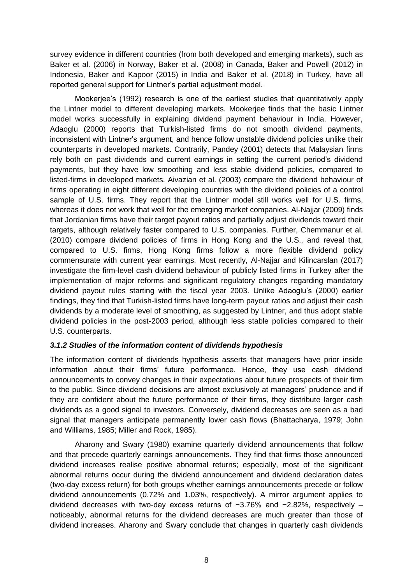survey evidence in different countries (from both developed and emerging markets), such as Baker et al. (2006) in Norway, Baker et al. (2008) in Canada, Baker and Powell (2012) in Indonesia, Baker and Kapoor (2015) in India and Baker et al. (2018) in Turkey, have all reported general support for Lintner's partial adjustment model.

Mookerjee's (1992) research is one of the earliest studies that quantitatively apply the Lintner model to different developing markets. Mookerjee finds that the basic Lintner model works successfully in explaining dividend payment behaviour in India. However, Adaoglu (2000) reports that Turkish-listed firms do not smooth dividend payments, inconsistent with Lintner's argument, and hence follow unstable dividend policies unlike their counterparts in developed markets. Contrarily, Pandey (2001) detects that Malaysian firms rely both on past dividends and current earnings in setting the current period's dividend payments, but they have low smoothing and less stable dividend policies, compared to listed-firms in developed markets. Aivazian et al. (2003) compare the dividend behaviour of firms operating in eight different developing countries with the dividend policies of a control sample of U.S. firms. They report that the Lintner model still works well for U.S. firms, whereas it does not work that well for the emerging market companies. Al-Najjar (2009) finds that Jordanian firms have their target payout ratios and partially adjust dividends toward their targets, although relatively faster compared to U.S. companies. Further, Chemmanur et al. (2010) compare dividend policies of firms in Hong Kong and the U.S., and reveal that, compared to U.S. firms, Hong Kong firms follow a more flexible dividend policy commensurate with current year earnings. Most recently, Al-Najjar and Kilincarslan (2017) investigate the firm-level cash dividend behaviour of publicly listed firms in Turkey after the implementation of major reforms and significant regulatory changes regarding mandatory dividend payout rules starting with the fiscal year 2003. Unlike Adaoglu's (2000) earlier findings, they find that Turkish-listed firms have long-term payout ratios and adjust their cash dividends by a moderate level of smoothing, as suggested by Lintner, and thus adopt stable dividend policies in the post-2003 period, although less stable policies compared to their U.S. counterparts.

### *3.1.2 Studies of the information content of dividends hypothesis*

The information content of dividends hypothesis asserts that managers have prior inside information about their firms' future performance. Hence, they use cash dividend announcements to convey changes in their expectations about future prospects of their firm to the public. Since dividend decisions are almost exclusively at managers' prudence and if they are confident about the future performance of their firms, they distribute larger cash dividends as a good signal to investors. Conversely, dividend decreases are seen as a bad signal that managers anticipate permanently lower cash flows (Bhattacharya, 1979; John and Williams, 1985; Miller and Rock, 1985).

Aharony and Swary (1980) examine quarterly dividend announcements that follow and that precede quarterly earnings announcements. They find that firms those announced dividend increases realise positive abnormal returns; especially, most of the significant abnormal returns occur during the dividend announcement and dividend declaration dates (two-day excess return) for both groups whether earnings announcements precede or follow dividend announcements (0.72% and 1.03%, respectively). A mirror argument applies to dividend decreases with two-day excess returns of −3.76% and −2.82%, respectively – noticeably, abnormal returns for the dividend decreases are much greater than those of dividend increases. Aharony and Swary conclude that changes in quarterly cash dividends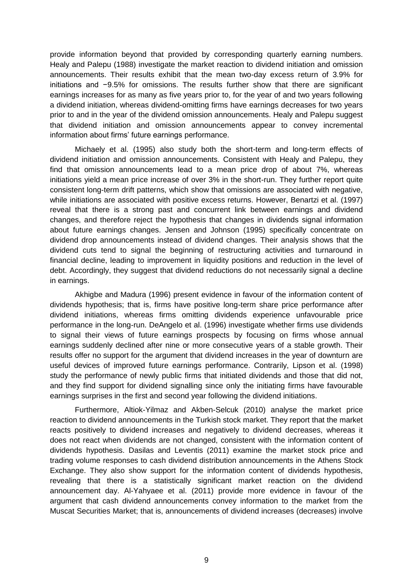provide information beyond that provided by corresponding quarterly earning numbers. Healy and Palepu (1988) investigate the market reaction to dividend initiation and omission announcements. Their results exhibit that the mean two-day excess return of 3.9% for initiations and −9.5% for omissions. The results further show that there are significant earnings increases for as many as five years prior to, for the year of and two years following a dividend initiation, whereas dividend-omitting firms have earnings decreases for two years prior to and in the year of the dividend omission announcements. Healy and Palepu suggest that dividend initiation and omission announcements appear to convey incremental information about firms' future earnings performance.

Michaely et al. (1995) also study both the short-term and long-term effects of dividend initiation and omission announcements. Consistent with Healy and Palepu, they find that omission announcements lead to a mean price drop of about 7%, whereas initiations yield a mean price increase of over 3% in the short-run. They further report quite consistent long-term drift patterns, which show that omissions are associated with negative, while initiations are associated with positive excess returns. However, Benartzi et al. (1997) reveal that there is a strong past and concurrent link between earnings and dividend changes, and therefore reject the hypothesis that changes in dividends signal information about future earnings changes. Jensen and Johnson (1995) specifically concentrate on dividend drop announcements instead of dividend changes. Their analysis shows that the dividend cuts tend to signal the beginning of restructuring activities and turnaround in financial decline, leading to improvement in liquidity positions and reduction in the level of debt. Accordingly, they suggest that dividend reductions do not necessarily signal a decline in earnings.

Akhigbe and Madura (1996) present evidence in favour of the information content of dividends hypothesis; that is, firms have positive long-term share price performance after dividend initiations, whereas firms omitting dividends experience unfavourable price performance in the long-run. DeAngelo et al. (1996) investigate whether firms use dividends to signal their views of future earnings prospects by focusing on firms whose annual earnings suddenly declined after nine or more consecutive years of a stable growth. Their results offer no support for the argument that dividend increases in the year of downturn are useful devices of improved future earnings performance. Contrarily, Lipson et al. (1998) study the performance of newly public firms that initiated dividends and those that did not, and they find support for dividend signalling since only the initiating firms have favourable earnings surprises in the first and second year following the dividend initiations.

Furthermore, Altiok-Yilmaz and Akben-Selcuk (2010) analyse the market price reaction to dividend announcements in the Turkish stock market. They report that the market reacts positively to dividend increases and negatively to dividend decreases, whereas it does not react when dividends are not changed, consistent with the information content of dividends hypothesis. Dasilas and Leventis (2011) examine the market stock price and trading volume responses to cash dividend distribution announcements in the Athens Stock Exchange. They also show support for the information content of dividends hypothesis, revealing that there is a statistically significant market reaction on the dividend announcement day. Al-Yahyaee et al. (2011) provide more evidence in favour of the argument that cash dividend announcements convey information to the market from the Muscat Securities Market; that is, announcements of dividend increases (decreases) involve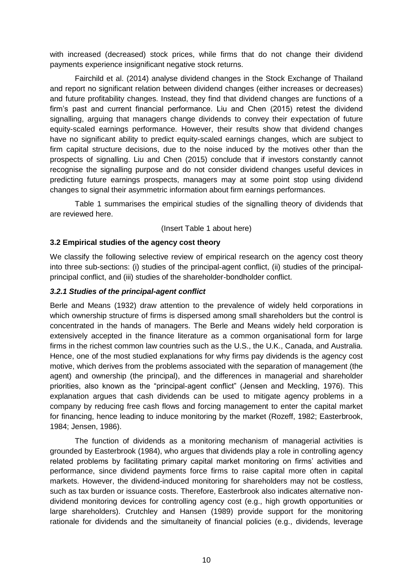with increased (decreased) stock prices, while firms that do not change their dividend payments experience insignificant negative stock returns.

Fairchild et al. (2014) analyse dividend changes in the Stock Exchange of Thailand and report no significant relation between dividend changes (either increases or decreases) and future profitability changes. Instead, they find that dividend changes are functions of a firm's past and current financial performance. Liu and Chen (2015) retest the dividend signalling, arguing that managers change dividends to convey their expectation of future equity-scaled earnings performance. However, their results show that dividend changes have no significant ability to predict equity-scaled earnings changes, which are subject to firm capital structure decisions, due to the noise induced by the motives other than the prospects of signalling. Liu and Chen (2015) conclude that if investors constantly cannot recognise the signalling purpose and do not consider dividend changes useful devices in predicting future earnings prospects, managers may at some point stop using dividend changes to signal their asymmetric information about firm earnings performances.

Table 1 summarises the empirical studies of the signalling theory of dividends that are reviewed here.

(Insert Table 1 about here)

## **3.2 Empirical studies of the agency cost theory**

We classify the following selective review of empirical research on the agency cost theory into three sub-sections: (i) studies of the principal-agent conflict, (ii) studies of the principalprincipal conflict, and (iii) studies of the shareholder-bondholder conflict.

## *3.2.1 Studies of the principal-agent conflict*

Berle and Means (1932) draw attention to the prevalence of widely held corporations in which ownership structure of firms is dispersed among small shareholders but the control is concentrated in the hands of managers. The Berle and Means widely held corporation is extensively accepted in the finance literature as a common organisational form for large firms in the richest common law countries such as the U.S., the U.K., Canada, and Australia. Hence, one of the most studied explanations for why firms pay dividends is the agency cost motive, which derives from the problems associated with the separation of management (the agent) and ownership (the principal), and the differences in managerial and shareholder priorities, also known as the "principal-agent conflict" (Jensen and Meckling, 1976). This explanation argues that cash dividends can be used to mitigate agency problems in a company by reducing free cash flows and forcing management to enter the capital market for financing, hence leading to induce monitoring by the market (Rozeff, 1982; Easterbrook, 1984; Jensen, 1986).

The function of dividends as a monitoring mechanism of managerial activities is grounded by Easterbrook (1984), who argues that dividends play a role in controlling agency related problems by facilitating primary capital market monitoring on firms' activities and performance, since dividend payments force firms to raise capital more often in capital markets. However, the dividend-induced monitoring for shareholders may not be costless, such as tax burden or issuance costs. Therefore, Easterbrook also indicates alternative nondividend monitoring devices for controlling agency cost (e.g., high growth opportunities or large shareholders). Crutchley and Hansen (1989) provide support for the monitoring rationale for dividends and the simultaneity of financial policies (e.g., dividends, leverage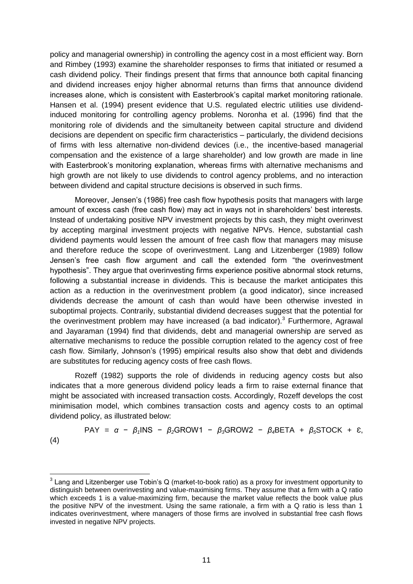policy and managerial ownership) in controlling the agency cost in a most efficient way. Born and Rimbey (1993) examine the shareholder responses to firms that initiated or resumed a cash dividend policy. Their findings present that firms that announce both capital financing and dividend increases enjoy higher abnormal returns than firms that announce dividend increases alone, which is consistent with Easterbrook's capital market monitoring rationale. Hansen et al. (1994) present evidence that U.S. regulated electric utilities use dividendinduced monitoring for controlling agency problems. Noronha et al. (1996) find that the monitoring role of dividends and the simultaneity between capital structure and dividend decisions are dependent on specific firm characteristics – particularly, the dividend decisions of firms with less alternative non-dividend devices (i.e., the incentive-based managerial compensation and the existence of a large shareholder) and low growth are made in line with Easterbrook's monitoring explanation, whereas firms with alternative mechanisms and high growth are not likely to use dividends to control agency problems, and no interaction between dividend and capital structure decisions is observed in such firms.

Moreover, Jensen's (1986) free cash flow hypothesis posits that managers with large amount of excess cash (free cash flow) may act in ways not in shareholders' best interests. Instead of undertaking positive NPV investment projects by this cash, they might overinvest by accepting marginal investment projects with negative NPVs. Hence, substantial cash dividend payments would lessen the amount of free cash flow that managers may misuse and therefore reduce the scope of overinvestment. Lang and Litzenberger (1989) follow Jensen's free cash flow argument and call the extended form "the overinvestment hypothesis". They argue that overinvesting firms experience positive abnormal stock returns, following a substantial increase in dividends. This is because the market anticipates this action as a reduction in the overinvestment problem (a good indicator), since increased dividends decrease the amount of cash than would have been otherwise invested in suboptimal projects. Contrarily, substantial dividend decreases suggest that the potential for the overinvestment problem may have increased (a bad indicator).<sup>3</sup> Furthermore, Agrawal and Jayaraman (1994) find that dividends, debt and managerial ownership are served as alternative mechanisms to reduce the possible corruption related to the agency cost of free cash flow. Similarly, Johnson's (1995) empirical results also show that debt and dividends are substitutes for reducing agency costs of free cash flows.

Rozeff (1982) supports the role of dividends in reducing agency costs but also indicates that a more generous dividend policy leads a firm to raise external finance that might be associated with increased transaction costs. Accordingly, Rozeff develops the cost minimisation model, which combines transaction costs and agency costs to an optimal dividend policy, as illustrated below:

(4)

 $\overline{a}$ 

PAY = *α* − *β1*INS − *β2*GROW1 − *β3*GROW2 − *β4*BETA + *β5*STOCK + Ɛ,

 $3$  Lang and Litzenberger use Tobin's Q (market-to-book ratio) as a proxy for investment opportunity to distinguish between overinvesting and value-maximising firms. They assume that a firm with a Q ratio which exceeds 1 is a value-maximizing firm, because the market value reflects the book value plus the positive NPV of the investment. Using the same rationale, a firm with a Q ratio is less than 1 indicates overinvestment, where managers of those firms are involved in substantial free cash flows invested in negative NPV projects.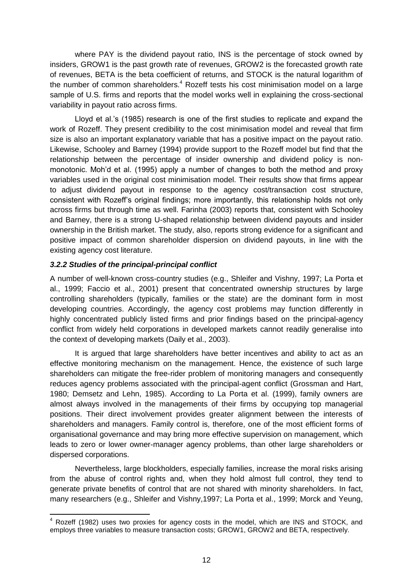where PAY is the dividend payout ratio, INS is the percentage of stock owned by insiders, GROW1 is the past growth rate of revenues, GROW2 is the forecasted growth rate of revenues, BETA is the beta coefficient of returns, and STOCK is the natural logarithm of the number of common shareholders. $4$  Rozeff tests his cost minimisation model on a large sample of U.S. firms and reports that the model works well in explaining the cross-sectional variability in payout ratio across firms.

Lloyd et al.'s (1985) research is one of the first studies to replicate and expand the work of Rozeff. They present credibility to the cost minimisation model and reveal that firm size is also an important explanatory variable that has a positive impact on the payout ratio. Likewise, Schooley and Barney (1994) provide support to the Rozeff model but find that the relationship between the percentage of insider ownership and dividend policy is nonmonotonic. Moh'd et al. (1995) apply a number of changes to both the method and proxy variables used in the original cost minimisation model. Their results show that firms appear to adjust dividend payout in response to the agency cost/transaction cost structure, consistent with Rozeff's original findings; more importantly, this relationship holds not only across firms but through time as well. Farinha (2003) reports that, consistent with Schooley and Barney, there is a strong U-shaped relationship between dividend payouts and insider ownership in the British market. The study, also, reports strong evidence for a significant and positive impact of common shareholder dispersion on dividend payouts, in line with the existing agency cost literature.

## *3.2.2 Studies of the principal-principal conflict*

A number of well-known cross-country studies (e.g., Shleifer and Vishny, 1997; La Porta et al., 1999; Faccio et al., 2001) present that concentrated ownership structures by large controlling shareholders (typically, families or the state) are the dominant form in most developing countries. Accordingly, the agency cost problems may function differently in highly concentrated publicly listed firms and prior findings based on the principal-agency conflict from widely held corporations in developed markets cannot readily generalise into the context of developing markets (Daily et al., 2003).

It is argued that large shareholders have better incentives and ability to act as an effective monitoring mechanism on the management. Hence, the existence of such large shareholders can mitigate the free-rider problem of monitoring managers and consequently reduces agency problems associated with the principal-agent conflict (Grossman and Hart, 1980; Demsetz and Lehn, 1985). According to La Porta et al. (1999), family owners are almost always involved in the managements of their firms by occupying top managerial positions. Their direct involvement provides greater alignment between the interests of shareholders and managers. Family control is, therefore, one of the most efficient forms of organisational governance and may bring more effective supervision on management, which leads to zero or lower owner-manager agency problems, than other large shareholders or dispersed corporations.

Nevertheless, large blockholders, especially families, increase the moral risks arising from the abuse of control rights and, when they hold almost full control, they tend to generate private benefits of control that are not shared with minority shareholders. In fact, many researchers (e.g., Shleifer and Vishny,1997; La Porta et al., 1999; Morck and Yeung,

**<sup>.</sup>**  $4$  Rozeff (1982) uses two proxies for agency costs in the model, which are INS and STOCK, and employs three variables to measure transaction costs; GROW1, GROW2 and BETA, respectively.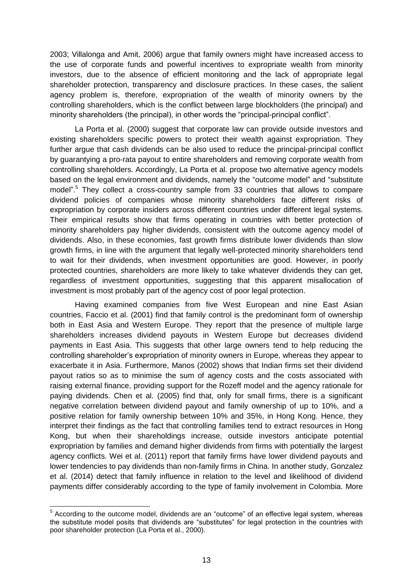2003; Villalonga and Amit, 2006) argue that family owners might have increased access to the use of corporate funds and powerful incentives to expropriate wealth from minority investors, due to the absence of efficient monitoring and the lack of appropriate legal shareholder protection, transparency and disclosure practices. In these cases, the salient agency problem is, therefore, expropriation of the wealth of minority owners by the controlling shareholders, which is the conflict between large blockholders (the principal) and minority shareholders (the principal), in other words the "principal-principal conflict".

La Porta et al. (2000) suggest that corporate law can provide outside investors and existing shareholders specific powers to protect their wealth against expropriation. They further argue that cash dividends can be also used to reduce the principal-principal conflict by guarantying a pro-rata payout to entire shareholders and removing corporate wealth from controlling shareholders. Accordingly, La Porta et al. propose two alternative agency models based on the legal environment and dividends, namely the "outcome model" and "substitute model". <sup>5</sup> They collect a cross-country sample from 33 countries that allows to compare dividend policies of companies whose minority shareholders face different risks of expropriation by corporate insiders across different countries under different legal systems. Their empirical results show that firms operating in countries with better protection of minority shareholders pay higher dividends, consistent with the outcome agency model of dividends. Also, in these economies, fast growth firms distribute lower dividends than slow growth firms, in line with the argument that legally well-protected minority shareholders tend to wait for their dividends, when investment opportunities are good. However, in poorly protected countries, shareholders are more likely to take whatever dividends they can get, regardless of investment opportunities, suggesting that this apparent misallocation of investment is most probably part of the agency cost of poor legal protection.

Having examined companies from five West European and nine East Asian countries, Faccio et al. (2001) find that family control is the predominant form of ownership both in East Asia and Western Europe. They report that the presence of multiple large shareholders increases dividend payouts in Western Europe but decreases dividend payments in East Asia. This suggests that other large owners tend to help reducing the controlling shareholder's expropriation of minority owners in Europe, whereas they appear to exacerbate it in Asia. Furthermore, Manos (2002) shows that Indian firms set their dividend payout ratios so as to minimise the sum of agency costs and the costs associated with raising external finance, providing support for the Rozeff model and the agency rationale for paying dividends. Chen et al. (2005) find that, only for small firms, there is a significant negative correlation between dividend payout and family ownership of up to 10%, and a positive relation for family ownership between 10% and 35%, in Hong Kong. Hence, they interpret their findings as the fact that controlling families tend to extract resources in Hong Kong, but when their shareholdings increase, outside investors anticipate potential expropriation by families and demand higher dividends from firms with potentially the largest agency conflicts. Wei et al. (2011) report that family firms have lower dividend payouts and lower tendencies to pay dividends than non-family firms in China. In another study, Gonzalez et al. (2014) detect that family influence in relation to the level and likelihood of dividend payments differ considerably according to the type of family involvement in Colombia. More

<sup>1</sup>  $5$  According to the outcome model, dividends are an "outcome" of an effective legal system, whereas the substitute model posits that dividends are "substitutes" for legal protection in the countries with poor shareholder protection (La Porta et al., 2000).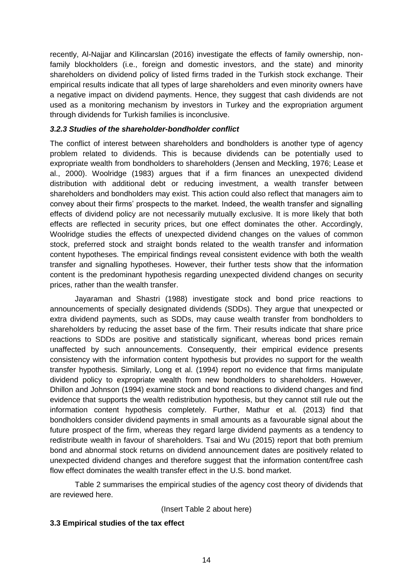recently, Al-Najjar and Kilincarslan (2016) investigate the effects of family ownership, nonfamily blockholders (i.e., foreign and domestic investors, and the state) and minority shareholders on dividend policy of listed firms traded in the Turkish stock exchange. Their empirical results indicate that all types of large shareholders and even minority owners have a negative impact on dividend payments. Hence, they suggest that cash dividends are not used as a monitoring mechanism by investors in Turkey and the expropriation argument through dividends for Turkish families is inconclusive.

### *3.2.3 Studies of the shareholder-bondholder conflict*

The conflict of interest between shareholders and bondholders is another type of agency problem related to dividends. This is because dividends can be potentially used to expropriate wealth from bondholders to shareholders (Jensen and Meckling, 1976; Lease et al., 2000). Woolridge (1983) argues that if a firm finances an unexpected dividend distribution with additional debt or reducing investment, a wealth transfer between shareholders and bondholders may exist. This action could also reflect that managers aim to convey about their firms' prospects to the market. Indeed, the wealth transfer and signalling effects of dividend policy are not necessarily mutually exclusive. It is more likely that both effects are reflected in security prices, but one effect dominates the other. Accordingly, Woolridge studies the effects of unexpected dividend changes on the values of common stock, preferred stock and straight bonds related to the wealth transfer and information content hypotheses. The empirical findings reveal consistent evidence with both the wealth transfer and signalling hypotheses. However, their further tests show that the information content is the predominant hypothesis regarding unexpected dividend changes on security prices, rather than the wealth transfer.

Jayaraman and Shastri (1988) investigate stock and bond price reactions to announcements of specially designated dividends (SDDs). They argue that unexpected or extra dividend payments, such as SDDs, may cause wealth transfer from bondholders to shareholders by reducing the asset base of the firm. Their results indicate that share price reactions to SDDs are positive and statistically significant, whereas bond prices remain unaffected by such announcements. Consequently, their empirical evidence presents consistency with the information content hypothesis but provides no support for the wealth transfer hypothesis. Similarly, Long et al. (1994) report no evidence that firms manipulate dividend policy to expropriate wealth from new bondholders to shareholders. However, Dhillon and Johnson (1994) examine stock and bond reactions to dividend changes and find evidence that supports the wealth redistribution hypothesis, but they cannot still rule out the information content hypothesis completely. Further, Mathur et al. (2013) find that bondholders consider dividend payments in small amounts as a favourable signal about the future prospect of the firm, whereas they regard large dividend payments as a tendency to redistribute wealth in favour of shareholders. Tsai and Wu (2015) report that both premium bond and abnormal stock returns on dividend announcement dates are positively related to unexpected dividend changes and therefore suggest that the information content/free cash flow effect dominates the wealth transfer effect in the U.S. bond market.

Table 2 summarises the empirical studies of the agency cost theory of dividends that are reviewed here.

(Insert Table 2 about here)

### **3.3 Empirical studies of the tax effect**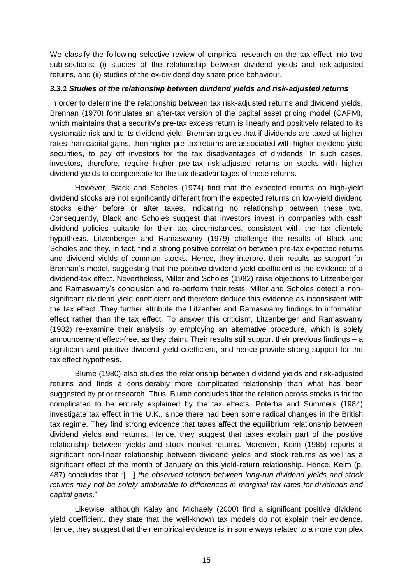We classify the following selective review of empirical research on the tax effect into two sub-sections: (i) studies of the relationship between dividend yields and risk-adjusted returns, and (ii) studies of the ex-dividend day share price behaviour.

#### *3.3.1 Studies of the relationship between dividend yields and risk-adjusted returns*

In order to determine the relationship between tax risk-adjusted returns and dividend yields, Brennan (1970) formulates an after-tax version of the capital asset pricing model (CAPM), which maintains that a security's pre-tax excess return is linearly and positively related to its systematic risk and to its dividend yield. Brennan argues that if dividends are taxed at higher rates than capital gains, then higher pre-tax returns are associated with higher dividend yield securities, to pay off investors for the tax disadvantages of dividends. In such cases, investors, therefore, require higher pre-tax risk-adjusted returns on stocks with higher dividend yields to compensate for the tax disadvantages of these returns.

However, Black and Scholes (1974) find that the expected returns on high-yield dividend stocks are not significantly different from the expected returns on low-yield dividend stocks either before or after taxes, indicating no relationship between these two. Consequently, Black and Scholes suggest that investors invest in companies with cash dividend policies suitable for their tax circumstances, consistent with the tax clientele hypothesis. Litzenberger and Ramaswamy (1979) challenge the results of Black and Scholes and they, in fact, find a strong positive correlation between pre-tax expected returns and dividend yields of common stocks. Hence, they interpret their results as support for Brennan's model, suggesting that the positive dividend yield coefficient is the evidence of a dividend-tax effect. Nevertheless, Miller and Scholes (1982) raise objections to Litzenberger and Ramaswamy's conclusion and re-perform their tests. Miller and Scholes detect a nonsignificant dividend yield coefficient and therefore deduce this evidence as inconsistent with the tax effect. They further attribute the Litzenber and Ramaswamy findings to information effect rather than the tax effect. To answer this criticism, Litzenberger and Ramaswamy (1982) re-examine their analysis by employing an alternative procedure, which is solely announcement effect-free, as they claim. Their results still support their previous findings – a significant and positive dividend yield coefficient, and hence provide strong support for the tax effect hypothesis.

Blume (1980) also studies the relationship between dividend yields and risk-adjusted returns and finds a considerably more complicated relationship than what has been suggested by prior research. Thus, Blume concludes that the relation across stocks is far too complicated to be entirely explained by the tax effects. Poterba and Summers (1984) investigate tax effect in the U.K., since there had been some radical changes in the British tax regime. They find strong evidence that taxes affect the equilibrium relationship between dividend yields and returns. Hence, they suggest that taxes explain part of the positive relationship between yields and stock market returns. Moreover, Keim (1985) reports a significant non-linear relationship between dividend yields and stock returns as well as a significant effect of the month of January on this yield-return relationship. Hence, Keim (p. 487) concludes that *"*[*…*] *the observed relation between long-run dividend yields and stock returns may not be solely attributable to differences in marginal tax rates for dividends and capital gains*."

Likewise, although Kalay and Michaely (2000) find a significant positive dividend yield coefficient, they state that the well-known tax models do not explain their evidence. Hence, they suggest that their empirical evidence is in some ways related to a more complex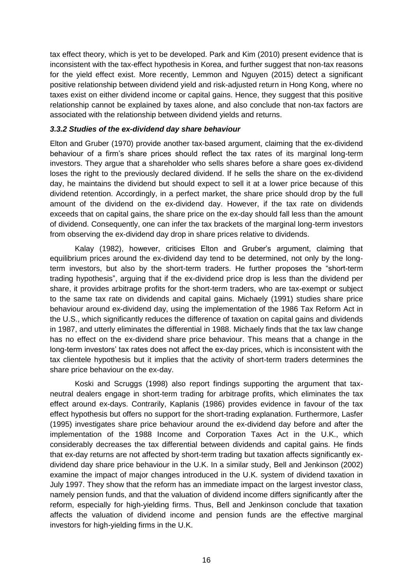tax effect theory, which is yet to be developed. Park and Kim (2010) present evidence that is inconsistent with the tax-effect hypothesis in Korea, and further suggest that non-tax reasons for the yield effect exist. More recently, Lemmon and Nguyen (2015) detect a significant positive relationship between dividend yield and risk-adjusted return in Hong Kong, where no taxes exist on either dividend income or capital gains. Hence, they suggest that this positive relationship cannot be explained by taxes alone, and also conclude that non-tax factors are associated with the relationship between dividend yields and returns.

### *3.3.2 Studies of the ex-dividend day share behaviour*

Elton and Gruber (1970) provide another tax-based argument, claiming that the ex-dividend behaviour of a firm's share prices should reflect the tax rates of its marginal long-term investors. They argue that a shareholder who sells shares before a share goes ex-dividend loses the right to the previously declared dividend. If he sells the share on the ex-dividend day, he maintains the dividend but should expect to sell it at a lower price because of this dividend retention. Accordingly, in a perfect market, the share price should drop by the full amount of the dividend on the ex-dividend day. However, if the tax rate on dividends exceeds that on capital gains, the share price on the ex-day should fall less than the amount of dividend. Consequently, one can infer the tax brackets of the marginal long-term investors from observing the ex-dividend day drop in share prices relative to dividends.

Kalay (1982), however, criticises Elton and Gruber's argument, claiming that equilibrium prices around the ex-dividend day tend to be determined, not only by the longterm investors, but also by the short-term traders. He further proposes the "short-term trading hypothesis", arguing that if the ex-dividend price drop is less than the dividend per share, it provides arbitrage profits for the short-term traders, who are tax-exempt or subject to the same tax rate on dividends and capital gains. Michaely (1991) studies share price behaviour around ex-dividend day, using the implementation of the 1986 Tax Reform Act in the U.S., which significantly reduces the difference of taxation on capital gains and dividends in 1987, and utterly eliminates the differential in 1988. Michaely finds that the tax law change has no effect on the ex-dividend share price behaviour. This means that a change in the long-term investors' tax rates does not affect the ex-day prices, which is inconsistent with the tax clientele hypothesis but it implies that the activity of short-term traders determines the share price behaviour on the ex-day.

Koski and Scruggs (1998) also report findings supporting the argument that taxneutral dealers engage in short-term trading for arbitrage profits, which eliminates the tax effect around ex-days. Contrarily, Kaplanis (1986) provides evidence in favour of the tax effect hypothesis but offers no support for the short-trading explanation. Furthermore, Lasfer (1995) investigates share price behaviour around the ex-dividend day before and after the implementation of the 1988 Income and Corporation Taxes Act in the U.K., which considerably decreases the tax differential between dividends and capital gains. He finds that ex-day returns are not affected by short-term trading but taxation affects significantly exdividend day share price behaviour in the U.K. In a similar study, Bell and Jenkinson (2002) examine the impact of major changes introduced in the U.K. system of dividend taxation in July 1997. They show that the reform has an immediate impact on the largest investor class, namely pension funds, and that the valuation of dividend income differs significantly after the reform, especially for high-yielding firms. Thus, Bell and Jenkinson conclude that taxation affects the valuation of dividend income and pension funds are the effective marginal investors for high-yielding firms in the U.K.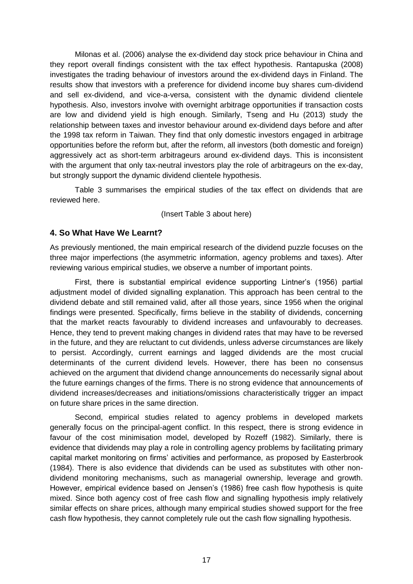Milonas et al. (2006) analyse the ex-dividend day stock price behaviour in China and they report overall findings consistent with the tax effect hypothesis. Rantapuska (2008) investigates the trading behaviour of investors around the ex-dividend days in Finland. The results show that investors with a preference for dividend income buy shares cum-dividend and sell ex-dividend, and vice-a-versa, consistent with the dynamic dividend clientele hypothesis. Also, investors involve with overnight arbitrage opportunities if transaction costs are low and dividend yield is high enough. Similarly, Tseng and Hu (2013) study the relationship between taxes and investor behaviour around ex-dividend days before and after the 1998 tax reform in Taiwan. They find that only domestic investors engaged in arbitrage opportunities before the reform but, after the reform, all investors (both domestic and foreign) aggressively act as short-term arbitrageurs around ex-dividend days. This is inconsistent with the argument that only tax-neutral investors play the role of arbitrageurs on the ex-day, but strongly support the dynamic dividend clientele hypothesis.

Table 3 summarises the empirical studies of the tax effect on dividends that are reviewed here.

(Insert Table 3 about here)

## **4. So What Have We Learnt?**

As previously mentioned, the main empirical research of the dividend puzzle focuses on the three major imperfections (the asymmetric information, agency problems and taxes). After reviewing various empirical studies, we observe a number of important points.

First, there is substantial empirical evidence supporting Lintner's (1956) partial adjustment model of divided signalling explanation. This approach has been central to the dividend debate and still remained valid, after all those years, since 1956 when the original findings were presented. Specifically, firms believe in the stability of dividends, concerning that the market reacts favourably to dividend increases and unfavourably to decreases. Hence, they tend to prevent making changes in dividend rates that may have to be reversed in the future, and they are reluctant to cut dividends, unless adverse circumstances are likely to persist. Accordingly, current earnings and lagged dividends are the most crucial determinants of the current dividend levels. However, there has been no consensus achieved on the argument that dividend change announcements do necessarily signal about the future earnings changes of the firms. There is no strong evidence that announcements of dividend increases/decreases and initiations/omissions characteristically trigger an impact on future share prices in the same direction.

Second, empirical studies related to agency problems in developed markets generally focus on the principal-agent conflict. In this respect, there is strong evidence in favour of the cost minimisation model, developed by Rozeff (1982). Similarly, there is evidence that dividends may play a role in controlling agency problems by facilitating primary capital market monitoring on firms' activities and performance, as proposed by Easterbrook (1984). There is also evidence that dividends can be used as substitutes with other nondividend monitoring mechanisms, such as managerial ownership, leverage and growth. However, empirical evidence based on Jensen's (1986) free cash flow hypothesis is quite mixed. Since both agency cost of free cash flow and signalling hypothesis imply relatively similar effects on share prices, although many empirical studies showed support for the free cash flow hypothesis, they cannot completely rule out the cash flow signalling hypothesis.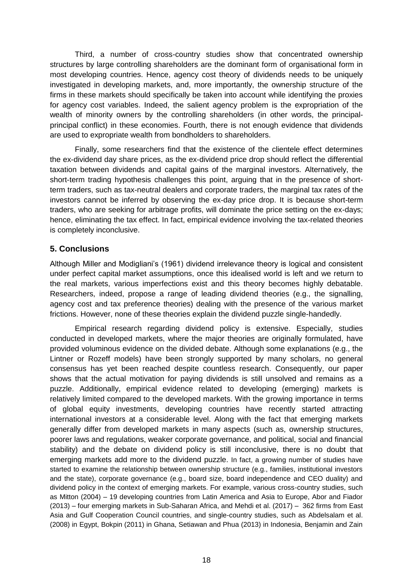Third, a number of cross-country studies show that concentrated ownership structures by large controlling shareholders are the dominant form of organisational form in most developing countries. Hence, agency cost theory of dividends needs to be uniquely investigated in developing markets, and, more importantly, the ownership structure of the firms in these markets should specifically be taken into account while identifying the proxies for agency cost variables. Indeed, the salient agency problem is the expropriation of the wealth of minority owners by the controlling shareholders (in other words, the principalprincipal conflict) in these economies. Fourth, there is not enough evidence that dividends are used to expropriate wealth from bondholders to shareholders.

Finally, some researchers find that the existence of the clientele effect determines the ex-dividend day share prices, as the ex-dividend price drop should reflect the differential taxation between dividends and capital gains of the marginal investors. Alternatively, the short-term trading hypothesis challenges this point, arguing that in the presence of shortterm traders, such as tax-neutral dealers and corporate traders, the marginal tax rates of the investors cannot be inferred by observing the ex-day price drop. It is because short-term traders, who are seeking for arbitrage profits, will dominate the price setting on the ex-days; hence, eliminating the tax effect. In fact, empirical evidence involving the tax-related theories is completely inconclusive.

## **5. Conclusions**

Although Miller and Modigliani's (1961) dividend irrelevance theory is logical and consistent under perfect capital market assumptions, once this idealised world is left and we return to the real markets, various imperfections exist and this theory becomes highly debatable. Researchers, indeed, propose a range of leading dividend theories (e.g., the signalling, agency cost and tax preference theories) dealing with the presence of the various market frictions. However, none of these theories explain the dividend puzzle single-handedly.

Empirical research regarding dividend policy is extensive. Especially, studies conducted in developed markets, where the major theories are originally formulated, have provided voluminous evidence on the divided debate. Although some explanations (e.g., the Lintner or Rozeff models) have been strongly supported by many scholars, no general consensus has yet been reached despite countless research. Consequently, our paper shows that the actual motivation for paying dividends is still unsolved and remains as a puzzle. Additionally, empirical evidence related to developing (emerging) markets is relatively limited compared to the developed markets. With the growing importance in terms of global equity investments, developing countries have recently started attracting international investors at a considerable level. Along with the fact that emerging markets generally differ from developed markets in many aspects (such as, ownership structures, poorer laws and regulations, weaker corporate governance, and political, social and financial stability) and the debate on dividend policy is still inconclusive, there is no doubt that emerging markets add more to the dividend puzzle. In fact, a growing number of studies have started to examine the relationship between ownership structure (e.g., families, institutional investors and the state), corporate governance (e.g., board size, board independence and CEO duality) and dividend policy in the context of emerging markets. For example, various cross-country studies, such as Mitton (2004) – 19 developing countries from Latin America and Asia to Europe, Abor and Fiador (2013) – four emerging markets in Sub-Saharan Africa, and Mehdi et al. (2017) – 362 firms from East Asia and Gulf Cooperation Council countries, and single-country studies, such as Abdelsalam et al. (2008) in Egypt, Bokpin (2011) in Ghana, Setiawan and Phua (2013) in Indonesia, Benjamin and Zain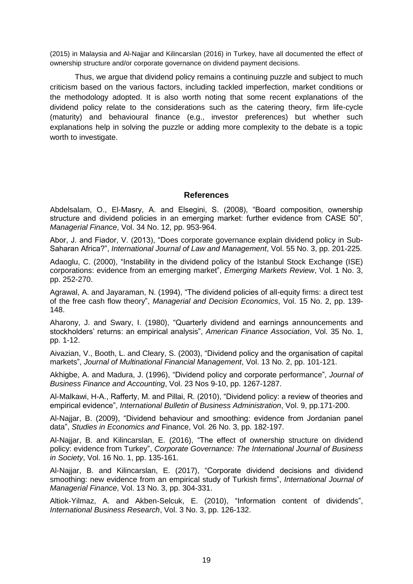(2015) in Malaysia and Al-Najjar and Kilincarslan (2016) in Turkey, have all documented the effect of ownership structure and/or corporate governance on dividend payment decisions.

Thus, we argue that dividend policy remains a continuing puzzle and subject to much criticism based on the various factors, including tackled imperfection, market conditions or the methodology adopted. It is also worth noting that some recent explanations of the dividend policy relate to the considerations such as the catering theory, firm life-cycle (maturity) and behavioural finance (e.g., investor preferences) but whether such explanations help in solving the puzzle or adding more complexity to the debate is a topic worth to investigate.

### **References**

Abdelsalam, O., El-Masry, A. and Elsegini, S. (2008), "Board composition, ownership structure and dividend policies in an emerging market: further evidence from CASE 50", *Managerial Finance*, Vol. 34 No. 12, pp. 953-964.

Abor, J. and Fiador, V. (2013), "Does corporate governance explain dividend policy in Sub-Saharan Africa?", *International Journal of Law and Management*, Vol. 55 No. 3, pp. 201-225.

Adaoglu, C. (2000), "Instability in the dividend policy of the Istanbul Stock Exchange (ISE) corporations: evidence from an emerging market", *Emerging Markets Review*, Vol. 1 No. 3, pp. 252-270.

Agrawal, A. and Jayaraman, N. (1994), "The dividend policies of all-equity firms: a direct test of the free cash flow theory", *Managerial and Decision Economics*, Vol. 15 No. 2, pp. 139- 148.

Aharony, J. and Swary, I. (1980), "Quarterly dividend and earnings announcements and stockholders' returns: an empirical analysis", *American Finance Association*, Vol. 35 No. 1, pp. 1-12.

Aivazian, V., Booth, L. and Cleary, S. (2003), "Dividend policy and the organisation of capital markets", *Journal of Multinational Financial Management*, Vol. 13 No. 2, pp. 101-121.

Akhigbe, A. and Madura, J. (1996), "Dividend policy and corporate performance", *Journal of Business Finance and Accounting*, Vol. 23 Nos 9-10, pp. 1267-1287.

Al-Malkawi, H-A., Rafferty, M. and Pillai, R. (2010), "Dividend policy: a review of theories and empirical evidence", *International Bulletin of Business Administration*, Vol. 9, pp.171-200.

Al-Najjar, B. (2009), "Dividend behaviour and smoothing: evidence from Jordanian panel data", *Studies in Economics and* Finance, Vol. 26 No. 3, pp. 182-197.

Al-Najjar, B. and Kilincarslan, E. (2016), "The effect of ownership structure on dividend policy: evidence from Turkey", *Corporate Governance: The International Journal of Business in Society*, Vol. 16 No. 1, pp. 135-161.

Al-Najjar, B. and Kilincarslan, E. (2017), "Corporate dividend decisions and dividend smoothing: new evidence from an empirical study of Turkish firms", *International Journal of Managerial Finance*, Vol. 13 No. 3, pp. 304-331.

Altiok-Yilmaz, A. and Akben-Selcuk, E. (2010), "Information content of dividends", *International Business Research*, Vol. 3 No. 3, pp. 126-132.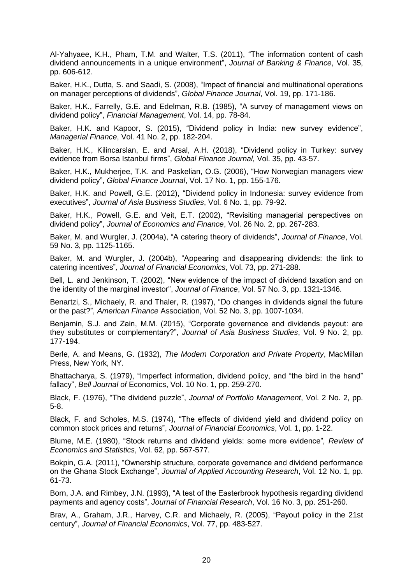Al-Yahyaee, K.H., Pham, T.M. and Walter, T.S. (2011), "The information content of cash dividend announcements in a unique environment", *Journal of Banking & Finance*, Vol. 35, pp. 606-612.

Baker, H.K., Dutta, S. and Saadi, S. (2008), "Impact of financial and multinational operations on manager perceptions of dividends", *Global Finance Journal*, Vol. 19, pp. 171-186.

Baker, H.K., Farrelly, G.E. and Edelman, R.B. (1985), "A survey of management views on dividend policy", *Financial Management*, Vol. 14, pp. 78-84.

Baker, H.K. and Kapoor, S. (2015), "Dividend policy in India: new survey evidence", *Managerial Finance*, Vol. 41 No. 2, pp. 182-204.

Baker, H.K., Kilincarslan, E. and Arsal, A.H. (2018), "Dividend policy in Turkey: survey evidence from Borsa Istanbul firms", *Global Finance Journal*, Vol. 35, pp. 43-57.

Baker, H.K., Mukherjee, T.K. and Paskelian, O.G. (2006), "How Norwegian managers view dividend policy", *Global Finance Journal*, Vol. 17 No. 1, pp. 155-176.

Baker, H.K. and Powell, G.E. (2012), "Dividend policy in Indonesia: survey evidence from executives", *Journal of Asia Business Studies*, Vol. 6 No. 1, pp. 79-92.

Baker, H.K., Powell, G.E. and Veit, E.T. (2002), "Revisiting managerial perspectives on dividend policy", *Journal of Economics and Finance*, Vol. 26 No. 2, pp. 267-283.

Baker, M. and Wurgler, J. (2004a), "A catering theory of dividends", *Journal of Finance*, Vol. 59 No. 3, pp. 1125-1165.

Baker, M. and Wurgler, J. (2004b), "Appearing and disappearing dividends: the link to catering incentives"*, Journal of Financial Economics*, Vol. 73, pp. 271-288.

Bell, L. and Jenkinson, T. (2002), "New evidence of the impact of dividend taxation and on the identity of the marginal investor", *Journal of Finance*, Vol. 57 No. 3, pp. 1321-1346.

Benartzi, S., Michaely, R. and Thaler, R. (1997), "Do changes in dividends signal the future or the past?", *American Finance* Association, Vol. 52 No. 3, pp. 1007-1034.

Benjamin, S.J. and Zain, M.M. (2015), "Corporate governance and dividends payout: are they substitutes or complementary?", *Journal of Asia Business Studies*, Vol. 9 No. 2, pp. 177-194.

Berle, A. and Means, G. (1932), *The Modern Corporation and Private Property*, MacMillan Press, New York, NY.

Bhattacharya, S. (1979), "Imperfect information, dividend policy, and "the bird in the hand" fallacy", *Bell Journal of* Economics, Vol. 10 No. 1, pp. 259-270.

Black, F. (1976), "The dividend puzzle", *Journal of Portfolio Management*, Vol. 2 No. 2, pp. 5-8.

Black, F. and Scholes, M.S. (1974), "The effects of dividend yield and dividend policy on common stock prices and returns", *Journal of Financial Economics*, Vol. 1, pp. 1-22.

Blume, M.E. (1980), "Stock returns and dividend yields: some more evidence"*, Review of Economics and Statistics*, Vol. 62, pp. 567-577.

Bokpin, G.A. (2011), "Ownership structure, corporate governance and dividend performance on the Ghana Stock Exchange", *Journal of Applied Accounting Research*, Vol. 12 No. 1, pp. 61-73.

Born, J.A. and Rimbey, J.N. (1993), "A test of the Easterbrook hypothesis regarding dividend payments and agency costs", *Journal of Financial Research*, Vol. 16 No. 3, pp. 251-260.

Brav, A., Graham, J.R., Harvey, C.R. and Michaely, R. (2005), "Payout policy in the 21st century", *Journal of Financial Economics*, Vol. 77, pp. 483-527.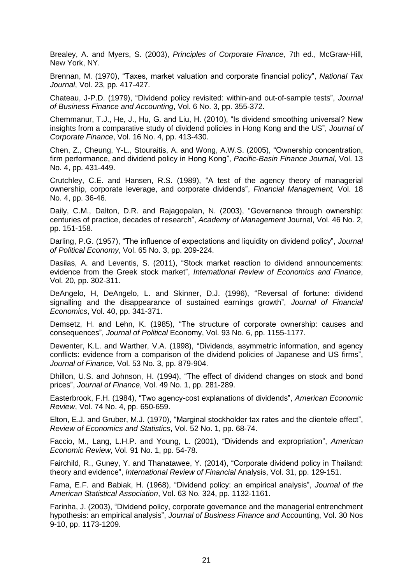Brealey, A. and Myers, S. (2003), *Principles of Corporate Finance,* 7th ed., McGraw-Hill, New York, NY.

Brennan, M. (1970), "Taxes, market valuation and corporate financial policy", *National Tax Journal*, Vol. 23, pp. 417-427.

Chateau, J-P.D. (1979), "Dividend policy revisited: within-and out-of-sample tests", *Journal of Business Finance and Accounting*, Vol. 6 No. 3, pp. 355-372.

Chemmanur, T.J., He, J., Hu, G. and Liu, H. (2010), "Is dividend smoothing universal? New insights from a comparative study of dividend policies in Hong Kong and the US", *Journal of Corporate Finance*, Vol. 16 No. 4, pp. 413-430.

Chen, Z., Cheung, Y-L., Stouraitis, A. and Wong, A.W.S. (2005), "Ownership concentration, firm performance, and dividend policy in Hong Kong", *Pacific-Basin Finance Journal*, Vol. 13 No. 4, pp. 431-449.

Crutchley, C.E. and Hansen, R.S. (1989), "A test of the agency theory of managerial ownership, corporate leverage, and corporate dividends", *Financial Management,* Vol. 18 No. 4, pp. 36-46.

Daily, C.M., Dalton, D.R. and Rajagopalan, N. (2003), "Governance through ownership: centuries of practice, decades of research", *Academy of Management* Journal, Vol. 46 No. 2, pp. 151-158.

Darling, P.G. (1957), "The influence of expectations and liquidity on dividend policy", *Journal of Political Economy*, Vol. 65 No. 3, pp. 209-224.

Dasilas, A. and Leventis, S. (2011), "Stock market reaction to dividend announcements: evidence from the Greek stock market", *International Review of Economics and Finance*, Vol. 20, pp. 302-311.

DeAngelo, H, DeAngelo, L. and Skinner, D.J. (1996), "Reversal of fortune: dividend signalling and the disappearance of sustained earnings growth", *Journal of Financial Economics*, Vol. 40, pp. 341-371.

Demsetz, H. and Lehn, K. (1985), "The structure of corporate ownership: causes and consequences", *Journal of Political* Economy, Vol. 93 No. 6, pp. 1155-1177.

Dewenter, K.L. and Warther, V.A. (1998), "Dividends, asymmetric information, and agency conflicts: evidence from a comparison of the dividend policies of Japanese and US firms", *Journal of Finance*, Vol. 53 No. 3, pp. 879-904.

Dhillon, U.S. and Johnson, H. (1994), "The effect of dividend changes on stock and bond prices", *Journal of Finance*, Vol. 49 No. 1, pp. 281-289.

Easterbrook, F.H. (1984), "Two agency-cost explanations of dividends", *American Economic Review*, Vol. 74 No. 4, pp. 650-659.

Elton, E.J. and Gruber, M.J. (1970), "Marginal stockholder tax rates and the clientele effect", *Review of Economics and Statistics*, Vol. 52 No. 1, pp. 68-74.

Faccio, M., Lang, L.H.P. and Young, L. (2001), "Dividends and expropriation", *American Economic Review*, Vol. 91 No. 1, pp. 54-78.

Fairchild, R., Guney, Y. and Thanatawee, Y. (2014), "Corporate dividend policy in Thailand: theory and evidence", *International Review of Financial* Analysis, Vol. 31, pp. 129-151.

Fama, E.F. and Babiak, H. (1968), "Dividend policy: an empirical analysis", *Journal of the American Statistical Association*, Vol. 63 No. 324, pp. 1132-1161.

Farinha, J. (2003), "Dividend policy, corporate governance and the managerial entrenchment hypothesis: an empirical analysis", *Journal of Business Finance and* Accounting, Vol. 30 Nos 9-10, pp. 1173-1209.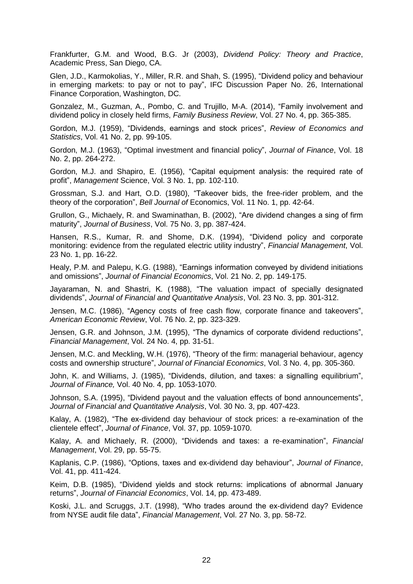Frankfurter, G.M. and Wood, B.G. Jr (2003), *Dividend Policy: Theory and Practice*, Academic Press, San Diego, CA.

Glen, J.D., Karmokolias, Y., Miller, R.R. and Shah, S. (1995), "Dividend policy and behaviour in emerging markets: to pay or not to pay", IFC Discussion Paper No. 26, International Finance Corporation, Washington, DC.

Gonzalez, M., Guzman, A., Pombo, C. and Trujillo, M-A. (2014), "Family involvement and dividend policy in closely held firms, *Family Business Review*, Vol. 27 No. 4, pp. 365-385.

Gordon, M.J. (1959), "Dividends, earnings and stock prices", *Review of Economics and Statistics*, Vol. 41 No. 2, pp. 99-105.

Gordon, M.J. (1963), "Optimal investment and financial policy", *Journal of Finance*, Vol. 18 No. 2, pp. 264-272.

Gordon, M.J. and Shapiro, E. (1956), "Capital equipment analysis: the required rate of profit", *Management* Science, Vol. 3 No. 1, pp. 102-110.

Grossman, S.J. and Hart, O.D. (1980), "Takeover bids, the free-rider problem, and the theory of the corporation", *Bell Journal of* Economics, Vol. 11 No. 1, pp. 42-64.

Grullon, G., Michaely, R. and Swaminathan, B. (2002), "Are dividend changes a sing of firm maturity", *Journal of Business*, Vol. 75 No. 3, pp. 387-424.

Hansen, R.S., Kumar, R. and Shome, D.K. (1994), "Dividend policy and corporate monitoring: evidence from the regulated electric utility industry", *Financial Management*, Vol. 23 No. 1, pp. 16-22.

Healy, P.M. and Palepu, K.G. (1988), "Earnings information conveyed by dividend initiations and omissions", *Journal of Financial Economics*, Vol. 21 No. 2, pp. 149-175.

Jayaraman, N. and Shastri, K. (1988), "The valuation impact of specially designated dividends", *Journal of Financial and Quantitative Analysis*, Vol. 23 No. 3, pp. 301-312.

Jensen, M.C. (1986), "Agency costs of free cash flow, corporate finance and takeovers", *American Economic Review*, Vol. 76 No. 2, pp. 323-329.

Jensen, G.R. and Johnson, J.M. (1995), "The dynamics of corporate dividend reductions", *Financial Management*, Vol. 24 No. 4, pp. 31-51.

Jensen, M.C. and Meckling, W.H. (1976), "Theory of the firm: managerial behaviour, agency costs and ownership structure", *Journal of Financial Economics*, Vol. 3 No. 4, pp. 305-360.

John, K. and Williams, J. (1985), "Dividends, dilution, and taxes: a signalling equilibrium", *Journal of Finance,* Vol. 40 No. 4, pp. 1053-1070.

Johnson, S.A. (1995), "Dividend payout and the valuation effects of bond announcements", *Journal of Financial and Quantitative Analysis*, Vol. 30 No. 3, pp. 407-423.

Kalay, A. (1982), "The ex-dividend day behaviour of stock prices: a re-examination of the clientele effect", *Journal of Finance*, Vol. 37, pp. 1059-1070.

Kalay, A. and Michaely, R. (2000), "Dividends and taxes: a re-examination", *Financial Management*, Vol. 29, pp. 55-75.

Kaplanis, C.P. (1986), "Options, taxes and ex-dividend day behaviour", *Journal of Finance*, Vol. 41, pp. 411-424.

Keim, D.B. (1985), "Dividend yields and stock returns: implications of abnormal January returns", *Journal of Financial Economics*, Vol. 14, pp. 473-489.

Koski, J.L. and Scruggs, J.T. (1998), "Who trades around the ex-dividend day? Evidence from NYSE audit file data", *Financial Management*, Vol. 27 No. 3, pp. 58-72.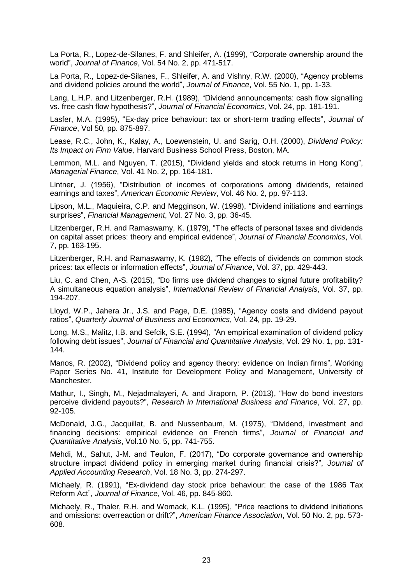La Porta, R., Lopez-de-Silanes, F. and Shleifer, A. (1999), "Corporate ownership around the world", *Journal of Finance*, Vol. 54 No. 2, pp. 471-517.

La Porta, R., Lopez-de-Silanes, F., Shleifer, A. and Vishny, R.W. (2000), "Agency problems and dividend policies around the world", *Journal of Finance*, Vol. 55 No. 1, pp. 1-33.

Lang, L.H.P. and Litzenberger, R.H. (1989), "Dividend announcements: cash flow signalling vs. free cash flow hypothesis?", *Journal of Financial Economics*, Vol. 24, pp. 181-191.

Lasfer, M.A. (1995), "Ex-day price behaviour: tax or short-term trading effects", *Journal of Finance*, Vol 50, pp. 875-897.

Lease, R.C., John, K., Kalay, A., Loewenstein, U. and Sarig, O.H. (2000), *Dividend Policy: Its Impact on Firm Value,* Harvard Business School Press, Boston, MA.

Lemmon, M.L. and Nguyen, T. (2015), "Dividend yields and stock returns in Hong Kong", *Managerial Finance*, Vol. 41 No. 2, pp. 164-181.

Lintner, J. (1956), "Distribution of incomes of corporations among dividends, retained earnings and taxes", *American Economic Review*, Vol. 46 No. 2, pp. 97-113.

Lipson, M.L., Maquieira, C.P. and Megginson, W. (1998), "Dividend initiations and earnings surprises", *Financial Management*, Vol. 27 No. 3, pp. 36-45.

Litzenberger, R.H. and Ramaswamy, K. (1979), "The effects of personal taxes and dividends on capital asset prices: theory and empirical evidence", *Journal of Financial Economics*, Vol. 7, pp. 163-195.

Litzenberger, R.H. and Ramaswamy, K. (1982), "The effects of dividends on common stock prices: tax effects or information effects", *Journal of Finance*, Vol. 37, pp. 429-443.

Liu, C. and Chen, A-S. (2015), "Do firms use dividend changes to signal future profitability? A simultaneous equation analysis", *International Review of Financial Analysis*, Vol. 37, pp. 194-207.

Lloyd, W.P., Jahera Jr., J.S. and Page, D.E. (1985), "Agency costs and dividend payout ratios", *Quarterly Journal of Business and Economics*, Vol. 24, pp. 19-29.

Long, M.S., Malitz, I.B. and Sefcik, S.E. (1994), "An empirical examination of dividend policy following debt issues", *Journal of Financial and Quantitative Analysis*, Vol. 29 No. 1, pp. 131- 144.

Manos, R. (2002), "Dividend policy and agency theory: evidence on Indian firms", Working Paper Series No. 41, Institute for Development Policy and Management, University of Manchester.

Mathur, I., Singh, M., Nejadmalayeri, A. and Jiraporn, P. (2013), "How do bond investors perceive dividend payouts?", *Research in International Business and Finance*, Vol. 27, pp. 92-105.

McDonald, J.G., Jacquillat, B. and Nussenbaum, M. (1975), "Dividend, investment and financing decisions: empirical evidence on French firms", *Journal of Financial and Quantitative Analysis*, Vol.10 No. 5, pp. 741-755.

Mehdi, M., Sahut, J-M. and Teulon, F. (2017), "Do corporate governance and ownership structure impact dividend policy in emerging market during financial crisis?", *Journal of Applied Accounting Research*, Vol. 18 No. 3, pp. 274-297.

Michaely, R. (1991), "Ex-dividend day stock price behaviour: the case of the 1986 Tax Reform Act", *Journal of Finance*, Vol. 46, pp. 845-860.

Michaely, R., Thaler, R.H. and Womack, K.L. (1995), "Price reactions to dividend initiations and omissions: overreaction or drift?", *American Finance Association*, Vol. 50 No. 2, pp. 573- 608.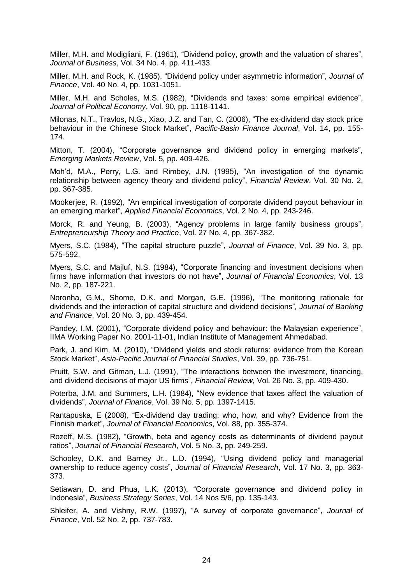Miller, M.H. and Modigliani, F. (1961), "Dividend policy, growth and the valuation of shares", *Journal of Business*, Vol. 34 No. 4, pp. 411-433.

Miller, M.H. and Rock, K. (1985), "Dividend policy under asymmetric information", *Journal of Finance*, Vol. 40 No. 4, pp. 1031-1051.

Miller, M.H. and Scholes, M.S. (1982), "Dividends and taxes: some empirical evidence", *Journal of Political Economy*, Vol. 90, pp. 1118-1141.

Milonas, N.T., Travlos, N.G., Xiao, J.Z. and Tan, C. (2006), "The ex-dividend day stock price behaviour in the Chinese Stock Market", *Pacific-Basin Finance Journal*, Vol. 14, pp. 155- 174.

Mitton, T. (2004), "Corporate governance and dividend policy in emerging markets", *Emerging Markets Review*, Vol. 5, pp. 409-426.

Moh'd, M.A., Perry, L.G. and Rimbey, J.N. (1995), "An investigation of the dynamic relationship between agency theory and dividend policy", *Financial Review*, Vol. 30 No. 2, pp. 367-385.

Mookerjee, R. (1992), "An empirical investigation of corporate dividend payout behaviour in an emerging market", *Applied Financial Economics*, Vol. 2 No. 4, pp. 243-246.

Morck, R. and Yeung, B. (2003), "Agency problems in large family business groups", *Entrepreneurship Theory and Practice*, Vol. 27 No. 4, pp. 367-382.

Myers, S.C. (1984), "The capital structure puzzle", *Journal of Finance*, Vol. 39 No. 3, pp. 575-592.

Myers, S.C. and Majluf, N.S. (1984), "Corporate financing and investment decisions when firms have information that investors do not have", *Journal of Financial Economics*, Vol. 13 No. 2, pp. 187-221.

Noronha, G.M., Shome, D.K. and Morgan, G.E. (1996), "The monitoring rationale for dividends and the interaction of capital structure and dividend decisions"*, Journal of Banking and Finance*, Vol. 20 No. 3, pp. 439-454.

Pandey, I.M. (2001), "Corporate dividend policy and behaviour: the Malaysian experience", IIMA Working Paper No. 2001-11-01, Indian Institute of Management Ahmedabad.

Park, J. and Kim, M. (2010), "Dividend yields and stock returns: evidence from the Korean Stock Market", *Asia-Pacific Journal of Financial Studies*, Vol. 39, pp. 736-751.

Pruitt, S.W. and Gitman, L.J. (1991), "The interactions between the investment, financing, and dividend decisions of major US firms", *Financial Review*, Vol. 26 No. 3, pp. 409-430.

Poterba, J.M. and Summers, L.H. (1984), "New evidence that taxes affect the valuation of dividends", *Journal of Finance*, Vol. 39 No. 5, pp. 1397-1415.

Rantapuska, E (2008), "Ex-dividend day trading: who, how, and why? Evidence from the Finnish market", *Journal of Financial Economics*, Vol. 88, pp. 355-374.

Rozeff, M.S. (1982), "Growth, beta and agency costs as determinants of dividend payout ratios", *Journal of Financial Research*, Vol. 5 No. 3, pp. 249-259.

Schooley, D.K. and Barney Jr., L.D. (1994), "Using dividend policy and managerial ownership to reduce agency costs", *Journal of Financial Research*, Vol. 17 No. 3, pp. 363- 373.

Setiawan, D. and Phua, L.K. (2013), "Corporate governance and dividend policy in Indonesia", *Business Strategy Series*, Vol. 14 Nos 5/6, pp. 135-143.

Shleifer, A. and Vishny, R.W. (1997), "A survey of corporate governance", *Journal of Finance*, Vol. 52 No. 2, pp. 737-783.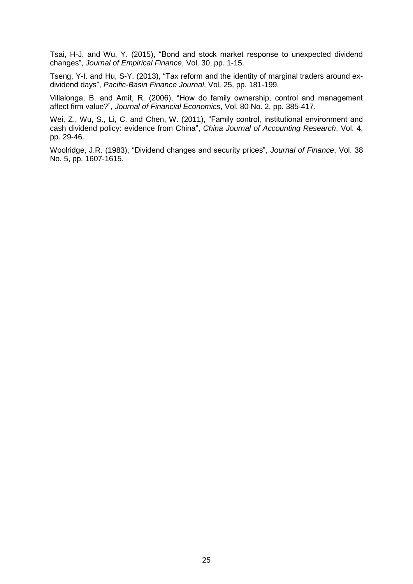Tsai, H-J. and Wu, Y. (2015), "Bond and stock market response to unexpected dividend changes", *Journal of Empirical Finance*, Vol. 30, pp. 1-15.

Tseng, Y-I. and Hu, S-Y. (2013), "Tax reform and the identity of marginal traders around exdividend days", *Pacific-Basin Finance Journal*, Vol. 25, pp. 181-199.

Villalonga, B. and Amit, R. (2006), "How do family ownership, control and management affect firm value?", *Journal of Financial Economics*, Vol. 80 No. 2, pp. 385-417.

Wei, Z., Wu, S., Li, C. and Chen, W. (2011), "Family control, institutional environment and cash dividend policy: evidence from China", *China Journal of Accounting Research*, Vol. 4, pp. 29-46.

Woolridge, J.R. (1983), "Dividend changes and security prices", *Journal of Finance*, Vol. 38 No. 5, pp. 1607-1615.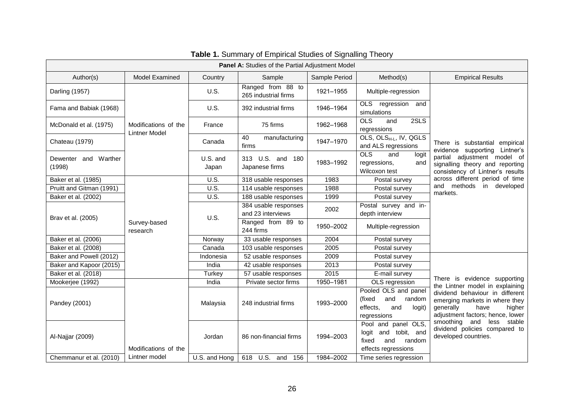| <b>Panel A: Studies of the Partial Adjustment Model</b> |                                              |                         |                                            |                        |                                                                                                                        |                                                                                                                                      |  |
|---------------------------------------------------------|----------------------------------------------|-------------------------|--------------------------------------------|------------------------|------------------------------------------------------------------------------------------------------------------------|--------------------------------------------------------------------------------------------------------------------------------------|--|
| Author(s)                                               | <b>Model Examined</b>                        | Country                 | Sample                                     | Sample Period          | Method(s)                                                                                                              | <b>Empirical Results</b>                                                                                                             |  |
| Darling (1957)                                          |                                              | U.S.                    | Ranged from 88 to<br>265 industrial firms  | 1921-1955              | Multiple-regression                                                                                                    |                                                                                                                                      |  |
| Fama and Babiak (1968)                                  |                                              | U.S.                    | 392 industrial firms                       | 1946-1964              | OLS regression and<br>simulations                                                                                      |                                                                                                                                      |  |
| McDonald et al. (1975)                                  | Modifications of the<br><b>Lintner Model</b> | France                  | 75 firms                                   | 1962-1968              | <b>OLS</b><br>2SLS<br>and<br>regressions                                                                               |                                                                                                                                      |  |
| Chateau (1979)                                          |                                              | Canada                  | 40<br>manufacturing<br>firms               | 1947-1970              | OLS, OLS <sub>H-L</sub> , IV, QGLS<br>and ALS regressions                                                              | There is substantial empirical<br>evidence supporting<br>Lintner's                                                                   |  |
| Dewenter and Warther<br>(1998)                          |                                              | U.S. and<br>Japan       | 313 U.S. and 180<br>Japanese firms         | 1983-1992              | <b>OLS</b><br>and<br>logit<br>regressions,<br>and<br>Wilcoxon test                                                     | partial adjustment model of<br>signalling theory and reporting<br>consistency of Lintner's results                                   |  |
| Baker et al. (1985)                                     |                                              | U.S.                    | 318 usable responses                       | 1983                   | Postal survey                                                                                                          | across different period of time                                                                                                      |  |
| Pruitt and Gitman (1991)                                |                                              | U.S.                    | 114 usable responses                       | 1988                   | Postal survey                                                                                                          | and methods<br>in developed                                                                                                          |  |
| Baker et al. (2002)                                     |                                              | U.S.                    | 188 usable responses                       | 1999                   | Postal survey                                                                                                          | markets.                                                                                                                             |  |
| Brav et al. (2005)                                      |                                              | U.S.                    | 384 usable responses<br>and 23 interviews  | 2002                   | Postal survey and in-<br>depth interview                                                                               |                                                                                                                                      |  |
|                                                         | Survey-based<br>research                     |                         | Ranged from 89 to<br>244 firms             | 1950-2002              | Multiple-regression                                                                                                    |                                                                                                                                      |  |
| Baker et al. (2006)                                     |                                              | Norway                  | 33 usable responses                        | 2004                   | Postal survey                                                                                                          |                                                                                                                                      |  |
| Baker et al. (2008)                                     |                                              | Canada                  | 103 usable responses                       | 2005                   | Postal survey                                                                                                          |                                                                                                                                      |  |
| Baker and Powell (2012)                                 |                                              | Indonesia               | 52 usable responses                        | 2009                   | Postal survey                                                                                                          |                                                                                                                                      |  |
| Baker and Kapoor (2015)                                 |                                              | India                   | 42 usable responses                        | 2013                   | Postal survey                                                                                                          |                                                                                                                                      |  |
| Baker et al. (2018)                                     |                                              | Turkey                  | 57 usable responses                        | 2015                   | E-mail survey                                                                                                          |                                                                                                                                      |  |
| Mookerjee (1992)                                        |                                              | India                   | Private sector firms                       | 1950-1981              | OLS regression                                                                                                         | There is evidence supporting<br>the Lintner model in explaining                                                                      |  |
| Pandey (2001)                                           |                                              | Malaysia                | 248 industrial firms                       | 1993-2000              | Pooled OLS and panel<br>and<br>random<br>(fixed<br>effects,<br>and<br>logit)<br>regressions                            | dividend behaviour in different<br>emerging markets in where they<br>generally<br>have<br>higher<br>adjustment factors; hence, lower |  |
| Al-Najjar (2009)<br>Chemmanur et al. (2010)             | Modifications of the<br>Lintner model        | Jordan<br>U.S. and Hong | 86 non-financial firms<br>618 U.S. and 156 | 1994-2003<br>1984-2002 | Pool and panel OLS,<br>logit and tobit, and<br>fixed<br>and<br>random<br>effects regressions<br>Time series regression | smoothing<br>and<br>less stable<br>dividend policies compared to<br>developed countries.                                             |  |
|                                                         |                                              |                         |                                            |                        |                                                                                                                        |                                                                                                                                      |  |

# **Table 1.** Summary of Empirical Studies of Signalling Theory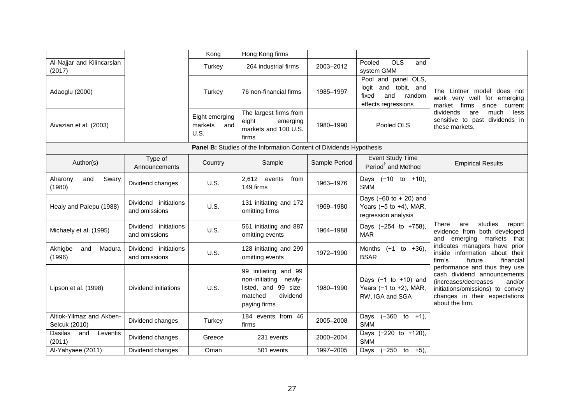|                                           |                                       | Kong                                     | Hong Kong firms                                                                                              |               |                                                                                              |                                                                                                                                                                                        |
|-------------------------------------------|---------------------------------------|------------------------------------------|--------------------------------------------------------------------------------------------------------------|---------------|----------------------------------------------------------------------------------------------|----------------------------------------------------------------------------------------------------------------------------------------------------------------------------------------|
| Al-Najjar and Kilincarslan<br>(2017)      |                                       | Turkey                                   | 264 industrial firms                                                                                         | 2003-2012     | <b>OLS</b><br>Pooled<br>and<br>system GMM                                                    |                                                                                                                                                                                        |
| Adaoglu (2000)                            |                                       | Turkey                                   | 76 non-financial firms                                                                                       | 1985-1997     | Pool and panel OLS,<br>logit and tobit, and<br>fixed<br>and<br>random<br>effects regressions | The Lintner model does not<br>work very well for emerging<br>market firms<br>current<br>since                                                                                          |
| Aivazian et al. (2003)                    |                                       | Eight emerging<br>markets<br>and<br>U.S. | The largest firms from<br>eight<br>emerging<br>markets and 100 U.S.<br>firms                                 | 1980-1990     | Pooled OLS                                                                                   | dividends<br>much<br>less<br>are<br>sensitive to past dividends in<br>these markets.                                                                                                   |
|                                           |                                       |                                          | Panel B: Studies of the Information Content of Dividends Hypothesis                                          |               |                                                                                              |                                                                                                                                                                                        |
| Author(s)                                 | Type of<br>Announcements              | Country                                  | Sample                                                                                                       | Sample Period | <b>Event Study Time</b><br>Period <sup>†</sup> and Method                                    | <b>Empirical Results</b>                                                                                                                                                               |
| Swary<br>Aharony<br>and<br>(1980)         | Dividend changes                      | U.S.                                     | 2,612 events from<br>149 firms                                                                               | 1963-1976     | Days (-10 to +10),<br><b>SMM</b>                                                             |                                                                                                                                                                                        |
| Healy and Palepu (1988)                   | Dividend initiations<br>and omissions | U.S.                                     | 131 initiating and 172<br>omitting firms                                                                     | 1969-1980     | Days $(-60 \text{ to } + 20)$ and<br>Years $(-5$ to $+4$ ), MAR,<br>regression analysis      |                                                                                                                                                                                        |
| Michaely et al. (1995)                    | Dividend initiations<br>and omissions | <b>U.S.</b>                              | 561 initiating and 887<br>omitting events                                                                    | 1964-1988     | Days (-254 to +758),<br><b>MAR</b>                                                           | studies<br>There<br>are<br>report<br>evidence from both developed<br>and emerging<br>markets<br>that                                                                                   |
| Akhigbe<br>Madura<br>and<br>(1996)        | Dividend initiations<br>and omissions | U.S.                                     | 128 initiating and 299<br>omitting events                                                                    | 1972-1990     | Months<br>$(+1$ to $+36)$ ,<br><b>BSAR</b>                                                   | indicates managers have prior<br>inside information about their<br>firm's<br>future<br>financial                                                                                       |
| Lipson et al. (1998)                      | Dividend initiations                  | U.S.                                     | 99 initiating and 99<br>non-initiating newly-<br>listed, and 99 size-<br>matched<br>dividend<br>paying firms | 1980-1990     | Days $(-1$ to $+10$ ) and<br>Years $(-1$ to $+2)$ , MAR,<br>RW, IGA and SGA                  | performance and thus they use<br>cash dividend announcements<br>(increases/decreases<br>and/or<br>initiations/omissions) to convey<br>changes in their expectations<br>about the firm. |
| Altiok-Yilmaz and Akben-<br>Selcuk (2010) | Dividend changes                      | Turkey                                   | 184 events from 46<br>firms                                                                                  | 2005-2008     | $(-360 \text{ to } +1),$<br>Days<br><b>SMM</b>                                               |                                                                                                                                                                                        |
| Dasilas<br>and<br>Leventis<br>(2011)      | Dividend changes                      | Greece                                   | 231 events                                                                                                   | 2000-2004     | $(-220 \text{ to } +120),$<br>Days<br><b>SMM</b>                                             |                                                                                                                                                                                        |
| Al-Yahyaee (2011)                         | Dividend changes                      | Oman                                     | $\overline{501}$ events                                                                                      | 1997-2005     | $(-250 \text{ to } +5)$ ,<br>Days                                                            |                                                                                                                                                                                        |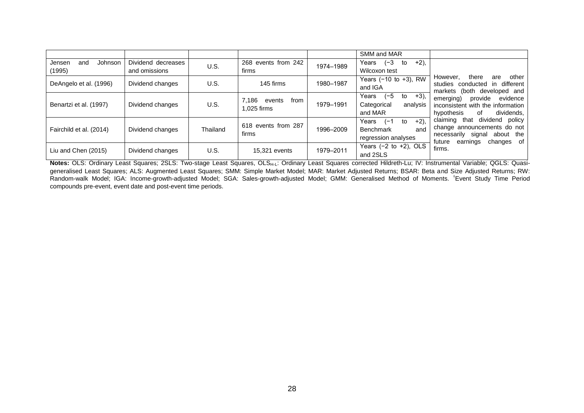|                                    |                                     |          |                                        |           | SMM and MAR                                                                        |                                                                                                                                              |
|------------------------------------|-------------------------------------|----------|----------------------------------------|-----------|------------------------------------------------------------------------------------|----------------------------------------------------------------------------------------------------------------------------------------------|
| Johnson<br>and<br>Jensen<br>(1995) | Dividend decreases<br>and omissions | U.S.     | 268 events from 242<br>firms           | 1974-1989 | $+2),$<br>(-3<br>Years<br>to<br>Wilcoxon test                                      |                                                                                                                                              |
| DeAngelo et al. (1996)             | Dividend changes                    | U.S.     | 145 firms                              | 1980-1987 | Years $(-10$ to $+3)$ , RW<br>and IGA                                              | other<br>However,<br>there<br>are<br>studies conducted in different<br>(both developed and<br>markets                                        |
| Benartzi et al. (1997)             | Dividend changes                    | U.S.     | 7,186<br>from<br>events<br>1.025 firms | 1979-1991 | $+3),$<br>(-5<br>Years<br>to<br>Categorical<br>analysis<br>and MAR                 | provide<br>evidence<br>emerging)<br>inconsistent with the information<br>dividends.<br>hypothesis<br>of                                      |
| Fairchild et al. (2014)            | Dividend changes                    | Thailand | 618 events from 287<br>firms           | 1996-2009 | $+2)$ ,<br>Years<br>$(-1)$<br>to<br><b>Benchmark</b><br>and<br>regression analyses | claiming<br>that dividend policy<br>change announcements do not<br>necessarily<br>the<br>signal<br>about<br>changes of<br>future<br>earnings |
| Liu and Chen (2015)                | Dividend changes                    | U.S.     | 15,321 events                          | 1979-2011 | Years $(-2 \text{ to } +2)$ , OLS<br>and 2SLS                                      | firms.                                                                                                                                       |

Notes: OLS: Ordinary Least Squares; 2SLS: Two-stage Least Squares, OLS<sub>H-L</sub>: Ordinary Least Squares corrected Hildreth-Lu; IV: Instrumental Variable; QGLS: Quasigeneralised Least Squares; ALS: Augmented Least Squares; SMM: Simple Market Model; MAR: Market Adjusted Returns; BSAR: Beta and Size Adjusted Returns; RW: Random-walk Model; IGA: Income-growth-adjusted Model; SGA: Sales-growth-adjusted Model; GMM: Generalised Method of Moments. †Event Study Time Period compounds pre-event, event date and post-event time periods.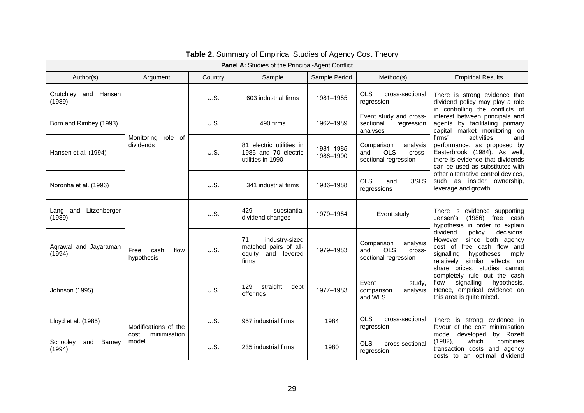| Panel A: Studies of the Principal-Agent Conflict |                                    |         |                                                                                    |                        |                                                                               |                                                                                                                                                                                                       |  |
|--------------------------------------------------|------------------------------------|---------|------------------------------------------------------------------------------------|------------------------|-------------------------------------------------------------------------------|-------------------------------------------------------------------------------------------------------------------------------------------------------------------------------------------------------|--|
| Author(s)                                        | Argument                           | Country | Sample                                                                             | Sample Period          | Method(s)                                                                     | <b>Empirical Results</b>                                                                                                                                                                              |  |
| Hansen<br>Crutchley<br>and<br>(1989)             |                                    | U.S.    | 603 industrial firms                                                               | 1981-1985              | <b>OLS</b><br>cross-sectional<br>regression                                   | There is strong evidence that<br>dividend policy may play a role<br>in controlling the conflicts of                                                                                                   |  |
| Born and Rimbey (1993)                           |                                    | U.S.    | 490 firms                                                                          | 1962-1989              | Event study and cross-<br>sectional<br>regression<br>analyses                 | interest between principals and<br>agents by facilitating primary<br>capital<br>market monitoring on                                                                                                  |  |
| Hansen et al. (1994)                             | Monitoring role of<br>dividends    | U.S.    | 81 electric utilities in<br>1985 and 70 electric<br>utilities in 1990              | 1981-1985<br>1986-1990 | Comparison<br>analysis<br><b>OLS</b><br>and<br>cross-<br>sectional regression | firms'<br>activities<br>and<br>performance, as proposed by<br>Easterbrook (1984). As well,<br>there is evidence that dividends<br>can be used as substitutes with                                     |  |
| Noronha et al. (1996)                            |                                    | U.S.    | 341 industrial firms                                                               | 1986-1988              | <b>OLS</b><br>3SLS<br>and<br>regressions                                      | other alternative control devices,<br>such as insider ownership,<br>leverage and growth.                                                                                                              |  |
| Litzenberger<br>Lang and<br>(1989)               | flow<br>Free<br>cash<br>hypothesis | U.S.    | 429<br>substantial<br>dividend changes                                             | 1979-1984              | Event study                                                                   | There is evidence supporting<br>(1986)<br>Jensen's<br>free cash<br>hypothesis in order to explain                                                                                                     |  |
| Agrawal and Jayaraman<br>(1994)                  |                                    | U.S.    | 71<br>industry-sized<br>matched pairs of all-<br>equity<br>and<br>levered<br>firms | 1979-1983              | Comparison<br>analysis<br><b>OLS</b><br>and<br>cross-<br>sectional regression | dividend<br>policy<br>decisions.<br>However, since both agency<br>cost of free cash flow and<br>signalling<br>hypotheses<br>imply<br>relatively<br>similar effects on<br>share prices, studies cannot |  |
| Johnson (1995)                                   |                                    | U.S.    | 129<br>straight<br>debt<br>offerings                                               | 1977-1983              | Event<br>study,<br>analysis<br>comparison<br>and WLS                          | completely rule out the cash<br>flow<br>signalling<br>hypothesis.<br>Hence, empirical evidence on<br>this area is quite mixed.                                                                        |  |
| Lloyd et al. (1985)                              | Modifications of the               | U.S.    | 957 industrial firms                                                               | 1984                   | <b>OLS</b><br>cross-sectional<br>regression                                   | is strong evidence in<br>There<br>favour of the cost minimisation                                                                                                                                     |  |
| Schooley<br>Barney<br>and<br>(1994)              | minimisation<br>cost<br>model      | U.S.    | 235 industrial firms                                                               | 1980                   | <b>OLS</b><br>cross-sectional<br>regression                                   | model<br>developed<br>by Rozeff<br>(1982),<br>which<br>combines<br>transaction costs and agency<br>costs to an optimal dividend                                                                       |  |

# **Table 2.** Summary of Empirical Studies of Agency Cost Theory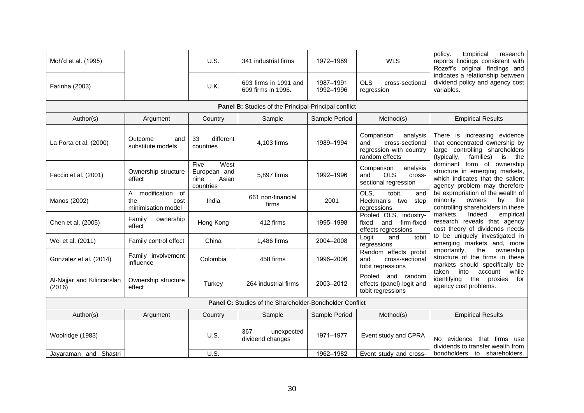| Moh'd et al. (1995)                                     |                                                           | <b>U.S.</b>                                                | 341 industrial firms                        | 1972-1989              | <b>WLS</b>                                                                                    | policy.<br>Empirical<br>research<br>reports findings consistent with<br>Rozeff's original findings and                                    |  |  |
|---------------------------------------------------------|-----------------------------------------------------------|------------------------------------------------------------|---------------------------------------------|------------------------|-----------------------------------------------------------------------------------------------|-------------------------------------------------------------------------------------------------------------------------------------------|--|--|
| Farinha (2003)                                          |                                                           | U.K.                                                       | 693 firms in 1991 and<br>609 firms in 1996. | 1987-1991<br>1992-1996 | <b>OLS</b><br>cross-sectional<br>regression                                                   | indicates a relationship between<br>dividend policy and agency cost<br>variables.                                                         |  |  |
| Panel B: Studies of the Principal-Principal conflict    |                                                           |                                                            |                                             |                        |                                                                                               |                                                                                                                                           |  |  |
| Author(s)                                               | Argument                                                  | Country                                                    | Sample                                      | Sample Period          | Method(s)                                                                                     | <b>Empirical Results</b>                                                                                                                  |  |  |
| La Porta et al. (2000)                                  | Outcome<br>and<br>substitute models                       | 33<br>different<br>countries                               | 4,103 firms                                 | 1989-1994              | Comparison<br>analysis<br>cross-sectional<br>and<br>regression with country<br>random effects | There is increasing evidence<br>that concentrated ownership by<br>large controlling shareholders<br>(typically,<br>families)<br>is<br>the |  |  |
| Faccio et al. (2001)                                    | Ownership structure<br>effect                             | West<br>Five<br>European and<br>Asian<br>nine<br>countries | 5,897 firms                                 | 1992-1996              | analysis<br>Comparison<br><b>OLS</b><br>and<br>cross-<br>sectional regression                 | dominant form of ownership<br>structure in emerging markets,<br>which indicates that the salient<br>agency problem may therefore          |  |  |
| Manos (2002)                                            | modification of<br>A<br>the<br>cost<br>minimisation model | India                                                      | 661 non-financial<br>firms                  | 2001                   | OLS.<br>tobit.<br>and<br>Heckman's two step<br>regressions                                    | be expropriation of the wealth of<br>minority<br>owners<br>by<br>the<br>controlling shareholders in these                                 |  |  |
| Chen et al. (2005)                                      | Family<br>ownership<br>effect                             | Hong Kong                                                  | 412 firms                                   | 1995-1998              | Pooled OLS, industry-<br>and firm-fixed<br>fixed<br>effects regressions                       | markets.<br>Indeed,<br>empirical<br>research reveals that agency<br>cost theory of dividends needs                                        |  |  |
| Wei et al. (2011)                                       | Family control effect                                     | China                                                      | 1,486 firms                                 | 2004-2008              | Logit<br>tobit<br>and<br>regressions                                                          | to be uniquely investigated in<br>emerging markets and, more                                                                              |  |  |
| Gonzalez et al. (2014)                                  | Family involvement<br>influence                           | Colombia                                                   | 458 firms                                   | 1996-2006              | Random effects probit<br>cross-sectional<br>and<br>tobit regressions                          | importantly,<br>the<br>ownership<br>structure of the firms in these<br>markets should specifically be                                     |  |  |
| Al-Najjar and Kilincarslan<br>(2016)                    | Ownership structure<br>effect                             | Turkey                                                     | 264 industrial firms                        | 2003-2012              | Pooled and random<br>effects (panel) logit and<br>tobit regressions                           | into<br>account<br>while<br>taken<br>identifying the<br>proxies<br>for<br>agency cost problems.                                           |  |  |
| Panel C: Studies of the Shareholder-Bondholder Conflict |                                                           |                                                            |                                             |                        |                                                                                               |                                                                                                                                           |  |  |
| Author(s)                                               | Argument                                                  | Country                                                    | Sample                                      | Sample Period          | Method(s)                                                                                     | <b>Empirical Results</b>                                                                                                                  |  |  |
| Woolridge (1983)                                        |                                                           | U.S.                                                       | 367<br>unexpected<br>dividend changes       | 1971-1977              | Event study and CPRA                                                                          | No evidence that firms use<br>dividends to transfer wealth from                                                                           |  |  |
| Jayaraman and Shastri                                   |                                                           | U.S.                                                       |                                             | 1962-1982              | Event study and cross-                                                                        | bondholders to shareholders.                                                                                                              |  |  |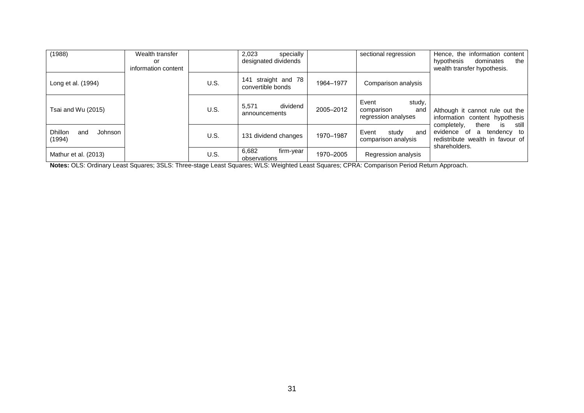| (1988)                                     | Wealth transfer<br>or<br>information content |      | 2.023<br>specially<br>designated dividends  |           | sectional regression                                        | Hence, the information content<br>hypothesis<br>dominates<br>the<br>wealth transfer hypothesis.          |
|--------------------------------------------|----------------------------------------------|------|---------------------------------------------|-----------|-------------------------------------------------------------|----------------------------------------------------------------------------------------------------------|
| Long et al. (1994)                         |                                              | U.S. | straight and 78<br>141<br>convertible bonds | 1964-1977 | Comparison analysis                                         |                                                                                                          |
| Tsai and Wu (2015)                         |                                              | U.S. | dividend<br>5.571<br>announcements          | 2005-2012 | Event<br>study,<br>comparison<br>and<br>regression analyses | Although it cannot rule out the<br>information content hypothesis<br>completely,<br>there<br>still<br>is |
| <b>Dhillon</b><br>Johnson<br>and<br>(1994) |                                              | U.S. | 131 dividend changes                        | 1970-1987 | Event<br>study<br>and<br>comparison analysis                | evidence of<br>tendency to<br>a<br>redistribute wealth in favour of<br>shareholders.                     |
| Mathur et al. (2013)                       |                                              | U.S. | 6,682<br>firm-year<br>observations          | 1970-2005 | Regression analysis                                         |                                                                                                          |

**Notes:** OLS: Ordinary Least Squares; 3SLS: Three-stage Least Squares; WLS: Weighted Least Squares; CPRA: Comparison Period Return Approach.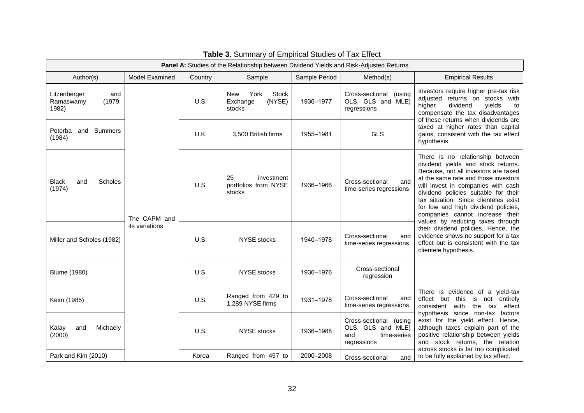| Panel A: Studies of the Relationship between Dividend Yields and Risk-Adjusted Returns |                       |             |                                                             |               |                                                                                     |                                                                                                                                                                                                                                                                                                                                                         |  |  |
|----------------------------------------------------------------------------------------|-----------------------|-------------|-------------------------------------------------------------|---------------|-------------------------------------------------------------------------------------|---------------------------------------------------------------------------------------------------------------------------------------------------------------------------------------------------------------------------------------------------------------------------------------------------------------------------------------------------------|--|--|
| Author(s)                                                                              | <b>Model Examined</b> | Country     | Sample                                                      | Sample Period | Method(s)                                                                           | <b>Empirical Results</b>                                                                                                                                                                                                                                                                                                                                |  |  |
| Litzenberger<br>and<br>(1979;<br>Ramaswamy<br>1982)                                    |                       | <b>U.S.</b> | York<br><b>Stock</b><br>New<br>(NYSE)<br>Exchange<br>stocks | 1936-1977     | Cross-sectional<br>using)<br>OLS, GLS and MLE)<br>regressions                       | Investors require higher pre-tax risk<br>adjusted returns on stocks with<br>higher<br>dividend<br>vields<br>to<br>compensate the tax disadvantages<br>of these returns when dividends are                                                                                                                                                               |  |  |
| and Summers<br>Poterba<br>(1984)                                                       |                       | U.K.        | 3,500 British firms                                         | 1955-1981     | <b>GLS</b>                                                                          | taxed at higher rates than capital<br>gains, consistent with the tax effect<br>hypothesis.                                                                                                                                                                                                                                                              |  |  |
| Scholes<br><b>Black</b><br>and<br>(1974)                                               | The CAPM and          | U.S.        | 25<br>investment<br>portfolios from NYSE<br>stocks          | 1936-1966     | Cross-sectional<br>and<br>time-series regressions                                   | There is no relationship between<br>dividend yields and stock returns.<br>Because, not all investors are taxed<br>at the same rate and those investors<br>will invest in companies with cash<br>dividend policies suitable for their<br>tax situation. Since clienteles exist<br>for low and high dividend policies,<br>companies cannot increase their |  |  |
| Miller and Scholes (1982)                                                              | its variations        | <b>U.S.</b> | <b>NYSE</b> stocks                                          | 1940-1978     | Cross-sectional<br>and<br>time-series regressions                                   | values by reducing taxes through<br>their dividend policies. Hence, the<br>evidence shows no support for a tax<br>effect but is consistent with the tax<br>clientele hypothesis.                                                                                                                                                                        |  |  |
| <b>Blume (1980)</b>                                                                    |                       | U.S.        | <b>NYSE</b> stocks                                          | 1936-1976     | Cross-sectional<br>regression                                                       |                                                                                                                                                                                                                                                                                                                                                         |  |  |
| Keim (1985)                                                                            |                       | U.S.        | Ranged from 429 to<br>1,289 NYSE firms                      | 1931-1978     | Cross-sectional<br>and<br>time-series regressions                                   | There is evidence of a yield-tax<br>effect but this is not entirely<br>consistent with the tax effect<br>hypothesis since non-tax factors                                                                                                                                                                                                               |  |  |
| Kalay<br>Michaely<br>and<br>(2000)                                                     |                       | U.S.        | <b>NYSE</b> stocks                                          | 1936-1988     | Cross-sectional<br>using)<br>OLS, GLS and MLE)<br>time-series<br>and<br>regressions | exist for the yield effect. Hence,<br>although taxes explain part of the<br>positive relationship between yields<br>and stock returns, the relation<br>across stocks is far too complicated                                                                                                                                                             |  |  |
| Park and Kim (2010)                                                                    |                       | Korea       | Ranged from 457 to                                          | 2000-2008     | Cross-sectional<br>and                                                              | to be fully explained by tax effect.                                                                                                                                                                                                                                                                                                                    |  |  |

# **Table 3.** Summary of Empirical Studies of Tax Effect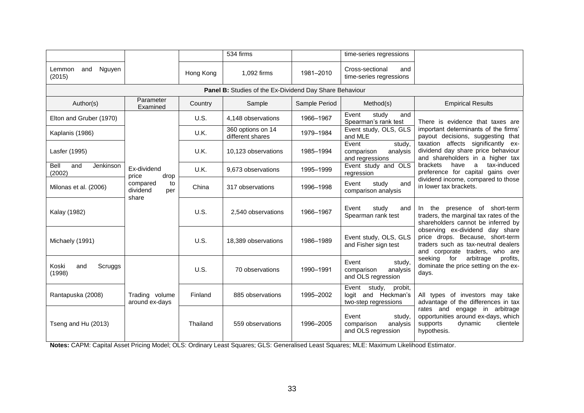|                                                         |                                            |             | 534 firms                             |               | time-series regressions                                                |                                                                                                                                                                                                                                                              |  |  |  |
|---------------------------------------------------------|--------------------------------------------|-------------|---------------------------------------|---------------|------------------------------------------------------------------------|--------------------------------------------------------------------------------------------------------------------------------------------------------------------------------------------------------------------------------------------------------------|--|--|--|
| Nguyen<br>Lemmon<br>and<br>(2015)                       |                                            | Hong Kong   | 1,092 firms                           | 1981-2010     | Cross-sectional<br>and<br>time-series regressions                      |                                                                                                                                                                                                                                                              |  |  |  |
| Panel B: Studies of the Ex-Dividend Day Share Behaviour |                                            |             |                                       |               |                                                                        |                                                                                                                                                                                                                                                              |  |  |  |
| Author(s)                                               | Parameter<br>Examined                      | Country     | Sample                                | Sample Period | Method(s)                                                              | <b>Empirical Results</b>                                                                                                                                                                                                                                     |  |  |  |
| Elton and Gruber (1970)                                 |                                            | U.S.        | 4,148 observations                    | 1966-1967     | Event<br>study<br>and<br>Spearman's rank test                          | There is evidence that taxes are                                                                                                                                                                                                                             |  |  |  |
| Kaplanis (1986)                                         |                                            | U.K.        | 360 options on 14<br>different shares | 1979-1984     | Event study, OLS, GLS<br>and MLE                                       | important determinants of the firms'<br>payout decisions, suggesting that                                                                                                                                                                                    |  |  |  |
| Lasfer (1995)                                           |                                            | U.K.        | 10,123 observations                   | 1985-1994     | Event<br>study,<br>analysis<br>comparison<br>and regressions           | taxation affects significantly<br>ex-<br>dividend day share price behaviour<br>and shareholders in a higher tax<br>brackets<br>have<br>a<br>tax-induced<br>preference for capital gains over<br>dividend income, compared to those<br>in lower tax brackets. |  |  |  |
| Jenkinson<br>Bell<br>and<br>(2002)                      | Ex-dividend<br>price<br>drop               | U.K.        | 9,673 observations                    | 1995-1999     | Event study and OLS<br>regression                                      |                                                                                                                                                                                                                                                              |  |  |  |
| Milonas et al. (2006)                                   | compared<br>to<br>dividend<br>per<br>share | China       | 317 observations                      | 1996-1998     | study<br>Event<br>and<br>comparison analysis                           |                                                                                                                                                                                                                                                              |  |  |  |
| Kalay (1982)                                            |                                            | <b>U.S.</b> | 2,540 observations                    | 1966-1967     | Event<br>study<br>and<br>Spearman rank test                            | the<br>of short-term<br>In In<br>presence<br>traders, the marginal tax rates of the<br>shareholders cannot be inferred by                                                                                                                                    |  |  |  |
| Michaely (1991)                                         |                                            | U.S.        | 18,389 observations                   | 1986-1989     | Event study, OLS, GLS<br>and Fisher sign test                          | observing ex-dividend day share<br>price drops. Because, short-term<br>traders such as tax-neutral dealers<br>and corporate traders, who are                                                                                                                 |  |  |  |
| Koski<br>Scruggs<br>and<br>(1998)                       |                                            | <b>U.S.</b> | 70 observations                       | 1990-1991     | Event<br>study,<br>analysis<br>comparison<br>and OLS regression        | seeking for arbitrage<br>profits,<br>dominate the price setting on the ex-<br>days.                                                                                                                                                                          |  |  |  |
| Rantapuska (2008)                                       | Trading volume<br>around ex-days           | Finland     | 885 observations                      | 1995-2002     | Event study,<br>probit,<br>logit and Heckman's<br>two-step regressions | All types of investors may take<br>advantage of the differences in tax                                                                                                                                                                                       |  |  |  |
| Tseng and Hu (2013)                                     |                                            | Thailand    | 559 observations                      | 1996-2005     | study,<br>Event<br>comparison<br>analysis<br>and OLS regression        | rates and engage in arbitrage<br>opportunities around ex-days, which<br>supports<br>dynamic<br>clientele<br>hypothesis.                                                                                                                                      |  |  |  |

**Notes:** CAPM: Capital Asset Pricing Model; OLS: Ordinary Least Squares; GLS: Generalised Least Squares; MLE: Maximum Likelihood Estimator.